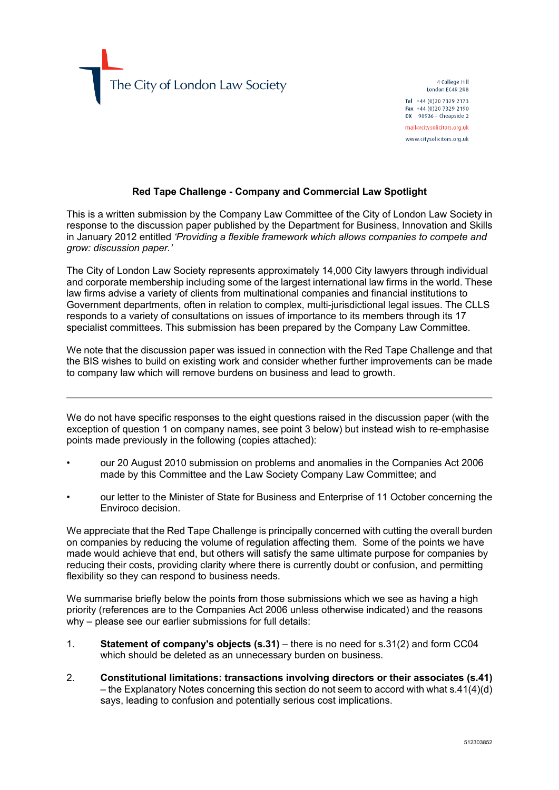The City of London Law Society

4 College Hill London EC4R 2RB Tel +44 (0)20 7329 2173 Fax +44 (0)20 7329 2190 DX  $98936$  - Cheapside 2 mail@citysolicitors.org.uk

www.citysolicitors.org.uk

## **Red Tape Challenge - Company and Commercial Law Spotlight**

This is a written submission by the Company Law Committee of the City of London Law Society in response to the discussion paper published by the Department for Business, Innovation and Skills in January 2012 entitled *'Providing a flexible framework which allows companies to compete and grow: discussion paper.'*

The City of London Law Society represents approximately 14,000 City lawyers through individual and corporate membership including some of the largest international law firms in the world. These law firms advise a variety of clients from multinational companies and financial institutions to Government departments, often in relation to complex, multi-jurisdictional legal issues. The CLLS responds to a variety of consultations on issues of importance to its members through its 17 specialist committees. This submission has been prepared by the Company Law Committee.

We note that the discussion paper was issued in connection with the Red Tape Challenge and that the BIS wishes to build on existing work and consider whether further improvements can be made to company law which will remove burdens on business and lead to growth.

We do not have specific responses to the eight questions raised in the discussion paper (with the exception of question 1 on company names, see point 3 below) but instead wish to re-emphasise points made previously in the following (copies attached):

- our 20 August 2010 submission on problems and anomalies in the Companies Act 2006 made by this Committee and the Law Society Company Law Committee; and
- our letter to the Minister of State for Business and Enterprise of 11 October concerning the Enviroco decision.

We appreciate that the Red Tape Challenge is principally concerned with cutting the overall burden on companies by reducing the volume of regulation affecting them. Some of the points we have made would achieve that end, but others will satisfy the same ultimate purpose for companies by reducing their costs, providing clarity where there is currently doubt or confusion, and permitting flexibility so they can respond to business needs.

We summarise briefly below the points from those submissions which we see as having a high priority (references are to the Companies Act 2006 unless otherwise indicated) and the reasons why – please see our earlier submissions for full details:

- 1. **Statement of company's objects (s.31)** there is no need for s.31(2) and form CC04 which should be deleted as an unnecessary burden on business.
- 2. **Constitutional limitations: transactions involving directors or their associates (s.41)** – the Explanatory Notes concerning this section do not seem to accord with what s.41(4)(d) says, leading to confusion and potentially serious cost implications.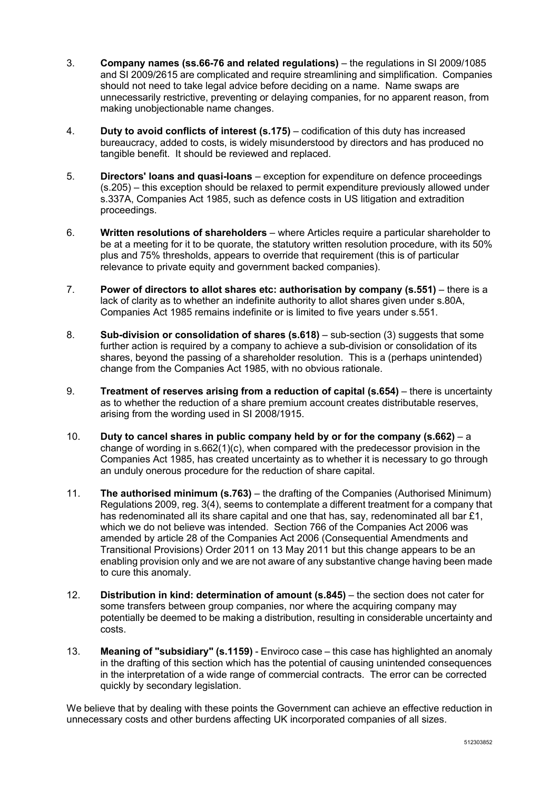- 3. **Company names (ss.66-76 and related regulations)** the regulations in SI 2009/1085 and SI 2009/2615 are complicated and require streamlining and simplification. Companies should not need to take legal advice before deciding on a name. Name swaps are unnecessarily restrictive, preventing or delaying companies, for no apparent reason, from making unobjectionable name changes.
- 4. **Duty to avoid conflicts of interest (s.175)** codification of this duty has increased bureaucracy, added to costs, is widely misunderstood by directors and has produced no tangible benefit. It should be reviewed and replaced.
- 5. **Directors' loans and quasi-loans** exception for expenditure on defence proceedings (s.205) – this exception should be relaxed to permit expenditure previously allowed under s.337A, Companies Act 1985, such as defence costs in US litigation and extradition proceedings.
- 6. **Written resolutions of shareholders** where Articles require a particular shareholder to be at a meeting for it to be quorate, the statutory written resolution procedure, with its 50% plus and 75% thresholds, appears to override that requirement (this is of particular relevance to private equity and government backed companies).
- 7. **Power of directors to allot shares etc: authorisation by company (s.551)** there is a lack of clarity as to whether an indefinite authority to allot shares given under s.80A, Companies Act 1985 remains indefinite or is limited to five years under s.551.
- 8. **Sub-division or consolidation of shares (s.618)** sub-section (3) suggests that some further action is required by a company to achieve a sub-division or consolidation of its shares, beyond the passing of a shareholder resolution. This is a (perhaps unintended) change from the Companies Act 1985, with no obvious rationale.
- 9. **Treatment of reserves arising from a reduction of capital (s.654)** there is uncertainty as to whether the reduction of a share premium account creates distributable reserves, arising from the wording used in SI 2008/1915.
- 10. **Duty to cancel shares in public company held by or for the company (s.662)** a change of wording in s.662(1)(c), when compared with the predecessor provision in the Companies Act 1985, has created uncertainty as to whether it is necessary to go through an unduly onerous procedure for the reduction of share capital.
- 11. **The authorised minimum (s.763)** the drafting of the Companies (Authorised Minimum) Regulations 2009, reg. 3(4), seems to contemplate a different treatment for a company that has redenominated all its share capital and one that has, say, redenominated all bar £1, which we do not believe was intended. Section 766 of the Companies Act 2006 was amended by article 28 of the Companies Act 2006 (Consequential Amendments and Transitional Provisions) Order 2011 on 13 May 2011 but this change appears to be an enabling provision only and we are not aware of any substantive change having been made to cure this anomaly.
- 12. **Distribution in kind: determination of amount (s.845)** the section does not cater for some transfers between group companies, nor where the acquiring company may potentially be deemed to be making a distribution, resulting in considerable uncertainty and costs.
- 13. **Meaning of "subsidiary" (s.1159)** Enviroco case this case has highlighted an anomaly in the drafting of this section which has the potential of causing unintended consequences in the interpretation of a wide range of commercial contracts. The error can be corrected quickly by secondary legislation.

We believe that by dealing with these points the Government can achieve an effective reduction in unnecessary costs and other burdens affecting UK incorporated companies of all sizes.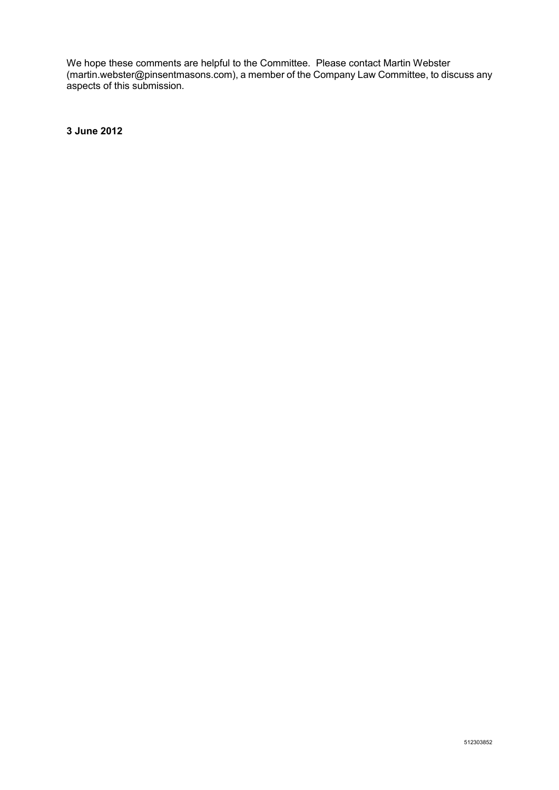We hope these comments are helpful to the Committee. Please contact Martin Webster (martin.webster@pinsentmasons.com), a member of the Company Law Committee, to discuss any aspects of this submission.

**3 June 2012**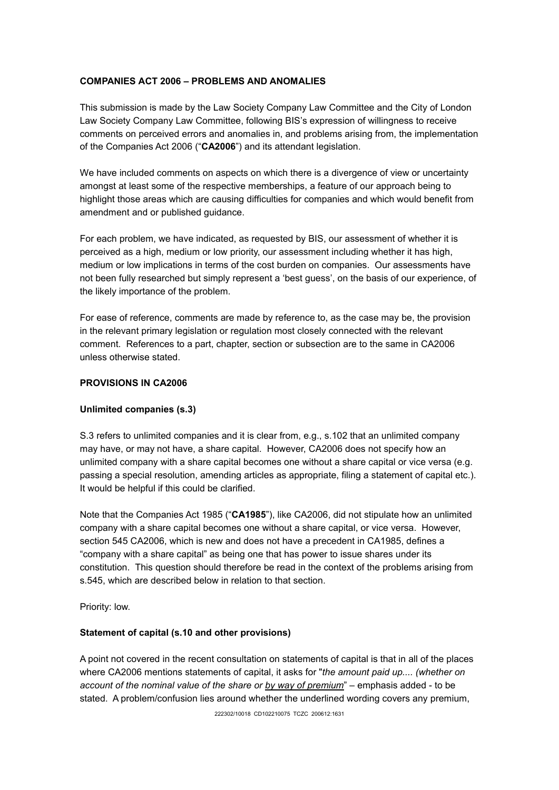## **COMPANIES ACT 2006 – PROBLEMS AND ANOMALIES**

This submission is made by the Law Society Company Law Committee and the City of London Law Society Company Law Committee, following BIS's expression of willingness to receive comments on perceived errors and anomalies in, and problems arising from, the implementation of the Companies Act 2006 ("**CA2006**") and its attendant legislation.

We have included comments on aspects on which there is a divergence of view or uncertainty amongst at least some of the respective memberships, a feature of our approach being to highlight those areas which are causing difficulties for companies and which would benefit from amendment and or published guidance.

For each problem, we have indicated, as requested by BIS, our assessment of whether it is perceived as a high, medium or low priority, our assessment including whether it has high, medium or low implications in terms of the cost burden on companies. Our assessments have not been fully researched but simply represent a 'best guess', on the basis of our experience, of the likely importance of the problem.

For ease of reference, comments are made by reference to, as the case may be, the provision in the relevant primary legislation or regulation most closely connected with the relevant comment. References to a part, chapter, section or subsection are to the same in CA2006 unless otherwise stated.

## **PROVISIONS IN CA2006**

## **Unlimited companies (s.3)**

S.3 refers to unlimited companies and it is clear from, e.g., s.102 that an unlimited company may have, or may not have, a share capital. However, CA2006 does not specify how an unlimited company with a share capital becomes one without a share capital or vice versa (e.g. passing a special resolution, amending articles as appropriate, filing a statement of capital etc.). It would be helpful if this could be clarified.

Note that the Companies Act 1985 ("**CA1985**"), like CA2006, did not stipulate how an unlimited company with a share capital becomes one without a share capital, or vice versa. However, section 545 CA2006, which is new and does not have a precedent in CA1985, defines a "company with a share capital" as being one that has power to issue shares under its constitution. This question should therefore be read in the context of the problems arising from s.545, which are described below in relation to that section.

Priority: low.

## **Statement of capital (s.10 and other provisions)**

A point not covered in the recent consultation on statements of capital is that in all of the places where CA2006 mentions statements of capital, it asks for "*the amount paid up.... (whether on account of the nominal value of the share or by way of premium*" – emphasis added - to be stated. A problem/confusion lies around whether the underlined wording covers any premium,

222302/10018 CD102210075 TCZC 200612:1631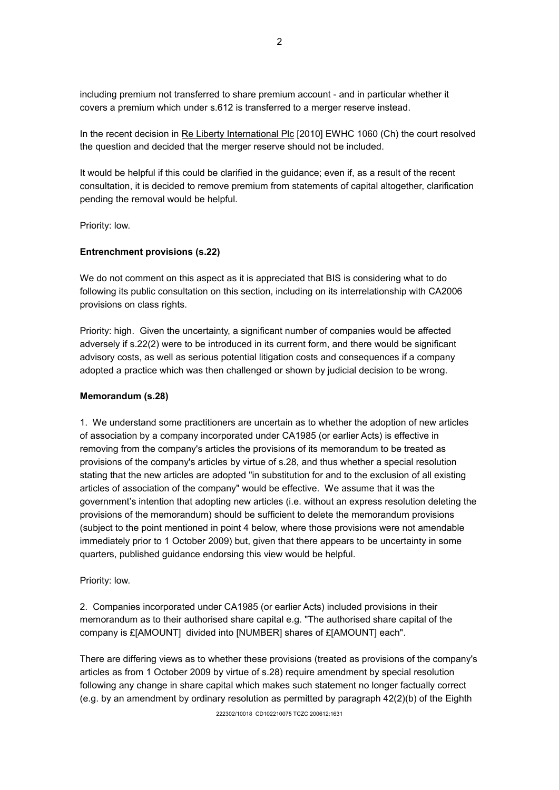including premium not transferred to share premium account - and in particular whether it covers a premium which under s.612 is transferred to a merger reserve instead.

In the recent decision in Re Liberty International Plc [2010] EWHC 1060 (Ch) the court resolved the question and decided that the merger reserve should not be included.

It would be helpful if this could be clarified in the guidance; even if, as a result of the recent consultation, it is decided to remove premium from statements of capital altogether, clarification pending the removal would be helpful.

Priority: low.

#### **Entrenchment provisions (s.22)**

We do not comment on this aspect as it is appreciated that BIS is considering what to do following its public consultation on this section, including on its interrelationship with CA2006 provisions on class rights.

Priority: high. Given the uncertainty, a significant number of companies would be affected adversely if s.22(2) were to be introduced in its current form, and there would be significant advisory costs, as well as serious potential litigation costs and consequences if a company adopted a practice which was then challenged or shown by judicial decision to be wrong.

#### **Memorandum (s.28)**

1. We understand some practitioners are uncertain as to whether the adoption of new articles of association by a company incorporated under CA1985 (or earlier Acts) is effective in removing from the company's articles the provisions of its memorandum to be treated as provisions of the company's articles by virtue of s.28, and thus whether a special resolution stating that the new articles are adopted "in substitution for and to the exclusion of all existing articles of association of the company" would be effective. We assume that it was the government's intention that adopting new articles (i.e. without an express resolution deleting the provisions of the memorandum) should be sufficient to delete the memorandum provisions (subject to the point mentioned in point 4 below, where those provisions were not amendable immediately prior to 1 October 2009) but, given that there appears to be uncertainty in some quarters, published guidance endorsing this view would be helpful.

#### Priority: low.

2. Companies incorporated under CA1985 (or earlier Acts) included provisions in their memorandum as to their authorised share capital e.g. "The authorised share capital of the company is £[AMOUNT] divided into [NUMBER] shares of £[AMOUNT] each".

There are differing views as to whether these provisions (treated as provisions of the company's articles as from 1 October 2009 by virtue of s.28) require amendment by special resolution following any change in share capital which makes such statement no longer factually correct (e.g. by an amendment by ordinary resolution as permitted by paragraph 42(2)(b) of the Eighth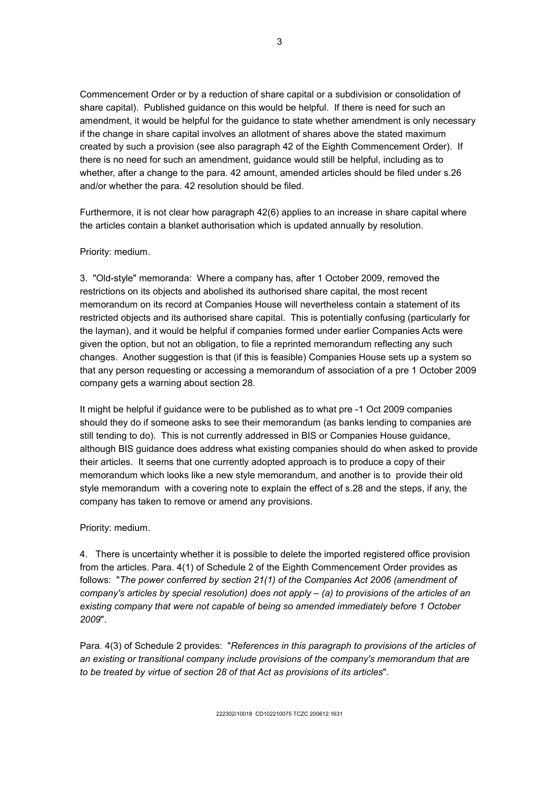Commencement Order or by a reduction of share capital or a subdivision or consolidation of share capital). Published guidance on this would be helpful. If there is need for such an amendment, it would be helpful for the guidance to state whether amendment is only necessary if the change in share capital involves an allotment of shares above the stated maximum created by such a provision (see also paragraph 42 of the Eighth Commencement Order). If there is no need for such an amendment, guidance would still be helpful, including as to whether, after a change to the para. 42 amount, amended articles should be filed under s.26 and/or whether the para. 42 resolution should be filed.

Furthermore, it is not clear how paragraph 42(6) applies to an increase in share capital where the articles contain a blanket authorisation which is updated annually by resolution.

#### Priority: medium.

3. "Old-style" memoranda: Where a company has, after 1 October 2009, removed the restrictions on its objects and abolished its authorised share capital, the most recent memorandum on its record at Companies House will nevertheless contain a statement of its restricted objects and its authorised share capital. This is potentially confusing (particularly for the layman), and it would be helpful if companies formed under earlier Companies Acts were given the option, but not an obligation, to file a reprinted memorandum reflecting any such changes. Another suggestion is that (if this is feasible) Companies House sets up a system so that any person requesting or accessing a memorandum of association of a pre 1 October 2009 company gets a warning about section 28.

It might be helpful if guidance were to be published as to what pre -1 Oct 2009 companies should they do if someone asks to see their memorandum (as banks lending to companies are still tending to do). This is not currently addressed in BIS or Companies House guidance, although BIS guidance does address what existing companies should do when asked to provide their articles. It seems that one currently adopted approach is to produce a copy of their memorandum which looks like a new style memorandum, and another is to provide their old style memorandum with a covering note to explain the effect of s.28 and the steps, if any, the company has taken to remove or amend any provisions.

#### Priority: medium.

4. There is uncertainty whether it is possible to delete the imported registered office provision from the articles. Para. 4(1) of Schedule 2 of the Eighth Commencement Order provides as follows: "*The power conferred by section 21(1) of the Companies Act 2006 (amendment of company's articles by special resolution) does not apply – (a) to provisions of the articles of an existing company that were not capable of being so amended immediately before 1 October 2009*".

Para. 4(3) of Schedule 2 provides: "*References in this paragraph to provisions of the articles of an existing or transitional company include provisions of the company's memorandum that are to be treated by virtue of section 28 of that Act as provisions of its articles*".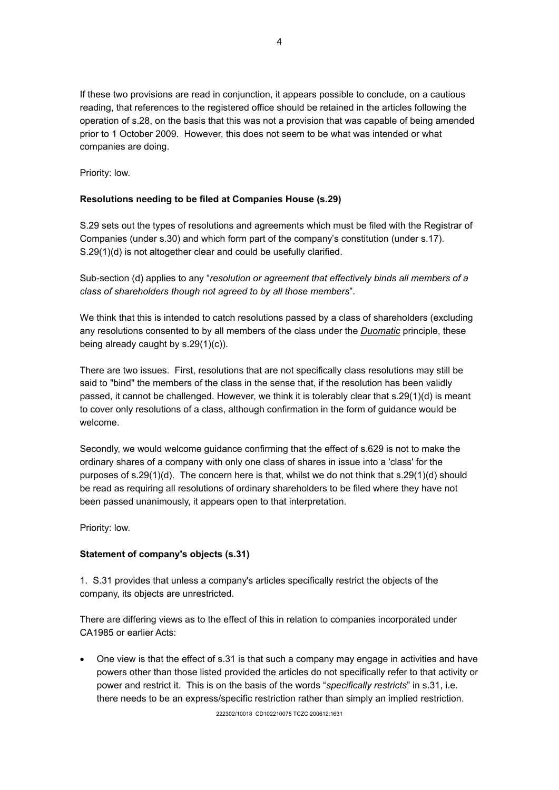If these two provisions are read in conjunction, it appears possible to conclude, on a cautious reading, that references to the registered office should be retained in the articles following the operation of s.28, on the basis that this was not a provision that was capable of being amended prior to 1 October 2009. However, this does not seem to be what was intended or what companies are doing.

Priority: low.

## **Resolutions needing to be filed at Companies House (s.29)**

S.29 sets out the types of resolutions and agreements which must be filed with the Registrar of Companies (under s.30) and which form part of the company's constitution (under s.17). S.29(1)(d) is not altogether clear and could be usefully clarified.

Sub-section (d) applies to any "*resolution or agreement that effectively binds all members of a class of shareholders though not agreed to by all those members*".

We think that this is intended to catch resolutions passed by a class of shareholders (excluding any resolutions consented to by all members of the class under the *Duomatic* principle, these being already caught by s.29(1)(c)).

There are two issues. First, resolutions that are not specifically class resolutions may still be said to "bind" the members of the class in the sense that, if the resolution has been validly passed, it cannot be challenged. However, we think it is tolerably clear that s.29(1)(d) is meant to cover only resolutions of a class, although confirmation in the form of guidance would be welcome.

Secondly, we would welcome guidance confirming that the effect of s.629 is not to make the ordinary shares of a company with only one class of shares in issue into a 'class' for the purposes of s.29(1)(d). The concern here is that, whilst we do not think that s.29(1)(d) should be read as requiring all resolutions of ordinary shareholders to be filed where they have not been passed unanimously, it appears open to that interpretation.

Priority: low.

## **Statement of company's objects (s.31)**

1. S.31 provides that unless a company's articles specifically restrict the objects of the company, its objects are unrestricted.

There are differing views as to the effect of this in relation to companies incorporated under CA1985 or earlier Acts:

 One view is that the effect of s.31 is that such a company may engage in activities and have powers other than those listed provided the articles do not specifically refer to that activity or power and restrict it. This is on the basis of the words "*specifically restricts*" in s.31, i.e. there needs to be an express/specific restriction rather than simply an implied restriction.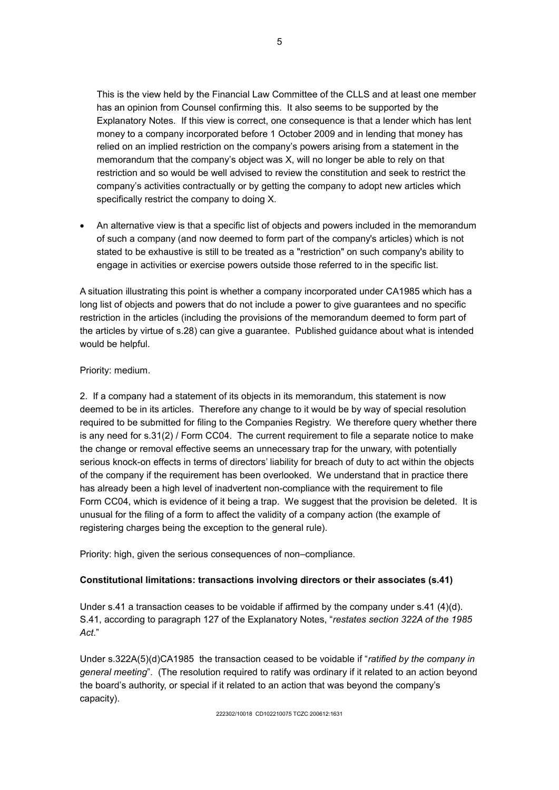This is the view held by the Financial Law Committee of the CLLS and at least one member has an opinion from Counsel confirming this. It also seems to be supported by the Explanatory Notes. If this view is correct, one consequence is that a lender which has lent money to a company incorporated before 1 October 2009 and in lending that money has relied on an implied restriction on the company's powers arising from a statement in the memorandum that the company's object was X, will no longer be able to rely on that restriction and so would be well advised to review the constitution and seek to restrict the company's activities contractually or by getting the company to adopt new articles which specifically restrict the company to doing X.

 An alternative view is that a specific list of objects and powers included in the memorandum of such a company (and now deemed to form part of the company's articles) which is not stated to be exhaustive is still to be treated as a "restriction" on such company's ability to engage in activities or exercise powers outside those referred to in the specific list.

A situation illustrating this point is whether a company incorporated under CA1985 which has a long list of objects and powers that do not include a power to give guarantees and no specific restriction in the articles (including the provisions of the memorandum deemed to form part of the articles by virtue of s.28) can give a guarantee. Published guidance about what is intended would be helpful.

## Priority: medium.

2. If a company had a statement of its objects in its memorandum, this statement is now deemed to be in its articles. Therefore any change to it would be by way of special resolution required to be submitted for filing to the Companies Registry. We therefore query whether there is any need for s.31(2) / Form CC04. The current requirement to file a separate notice to make the change or removal effective seems an unnecessary trap for the unwary, with potentially serious knock-on effects in terms of directors' liability for breach of duty to act within the objects of the company if the requirement has been overlooked. We understand that in practice there has already been a high level of inadvertent non-compliance with the requirement to file Form CC04, which is evidence of it being a trap. We suggest that the provision be deleted. It is unusual for the filing of a form to affect the validity of a company action (the example of registering charges being the exception to the general rule).

Priority: high, given the serious consequences of non–compliance.

## **Constitutional limitations: transactions involving directors or their associates (s.41)**

Under s.41 a transaction ceases to be voidable if affirmed by the company under s.41 (4)(d). S.41, according to paragraph 127 of the Explanatory Notes, "*restates section 322A of the 1985 Act*."

Under s.322A(5)(d)CA1985 the transaction ceased to be voidable if "*ratified by the company in general meeting*". (The resolution required to ratify was ordinary if it related to an action beyond the board's authority, or special if it related to an action that was beyond the company's capacity).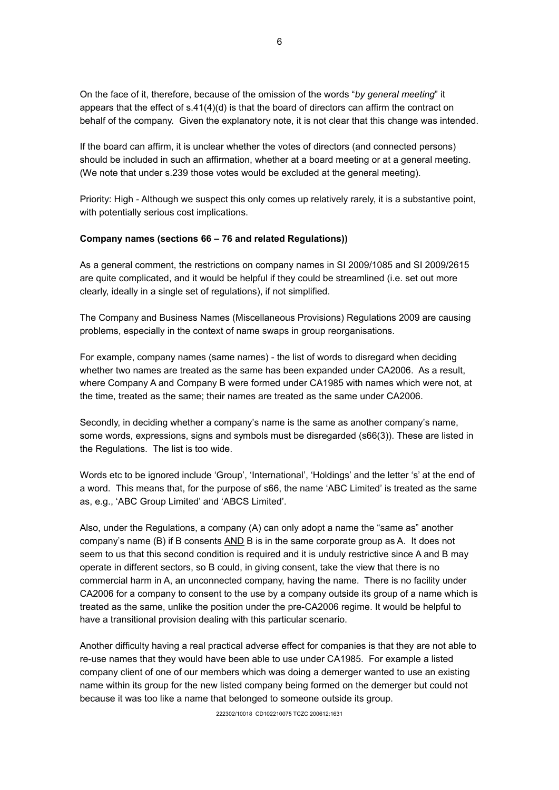On the face of it, therefore, because of the omission of the words "*by general meeting*" it appears that the effect of  $s.41(4)(d)$  is that the board of directors can affirm the contract on behalf of the company. Given the explanatory note, it is not clear that this change was intended.

If the board can affirm, it is unclear whether the votes of directors (and connected persons) should be included in such an affirmation, whether at a board meeting or at a general meeting. (We note that under s.239 those votes would be excluded at the general meeting).

Priority: High - Although we suspect this only comes up relatively rarely, it is a substantive point, with potentially serious cost implications.

#### **Company names (sections 66 – 76 and related Regulations))**

As a general comment, the restrictions on company names in SI 2009/1085 and SI 2009/2615 are quite complicated, and it would be helpful if they could be streamlined (i.e. set out more clearly, ideally in a single set of regulations), if not simplified.

The Company and Business Names (Miscellaneous Provisions) Regulations 2009 are causing problems, especially in the context of name swaps in group reorganisations.

For example, company names (same names) - the list of words to disregard when deciding whether two names are treated as the same has been expanded under CA2006. As a result, where Company A and Company B were formed under CA1985 with names which were not, at the time, treated as the same; their names are treated as the same under CA2006.

Secondly, in deciding whether a company's name is the same as another company's name, some words, expressions, signs and symbols must be disregarded (s66(3)). These are listed in the Regulations. The list is too wide.

Words etc to be ignored include 'Group', 'International', 'Holdings' and the letter 's' at the end of a word. This means that, for the purpose of s66, the name 'ABC Limited' is treated as the same as, e.g., 'ABC Group Limited' and 'ABCS Limited'.

Also, under the Regulations, a company (A) can only adopt a name the "same as" another company's name (B) if B consents AND B is in the same corporate group as A. It does not seem to us that this second condition is required and it is unduly restrictive since A and B may operate in different sectors, so B could, in giving consent, take the view that there is no commercial harm in A, an unconnected company, having the name. There is no facility under CA2006 for a company to consent to the use by a company outside its group of a name which is treated as the same, unlike the position under the pre-CA2006 regime. It would be helpful to have a transitional provision dealing with this particular scenario.

Another difficulty having a real practical adverse effect for companies is that they are not able to re-use names that they would have been able to use under CA1985. For example a listed company client of one of our members which was doing a demerger wanted to use an existing name within its group for the new listed company being formed on the demerger but could not because it was too like a name that belonged to someone outside its group.

222302/10018 CD102210075 TCZC 200612:1631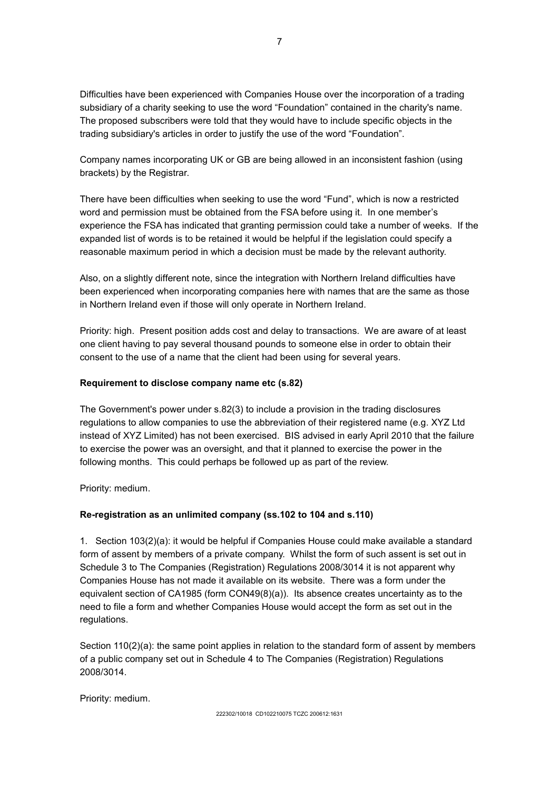Difficulties have been experienced with Companies House over the incorporation of a trading subsidiary of a charity seeking to use the word "Foundation" contained in the charity's name. The proposed subscribers were told that they would have to include specific objects in the trading subsidiary's articles in order to justify the use of the word "Foundation".

Company names incorporating UK or GB are being allowed in an inconsistent fashion (using brackets) by the Registrar.

There have been difficulties when seeking to use the word "Fund", which is now a restricted word and permission must be obtained from the FSA before using it. In one member's experience the FSA has indicated that granting permission could take a number of weeks. If the expanded list of words is to be retained it would be helpful if the legislation could specify a reasonable maximum period in which a decision must be made by the relevant authority.

Also, on a slightly different note, since the integration with Northern Ireland difficulties have been experienced when incorporating companies here with names that are the same as those in Northern Ireland even if those will only operate in Northern Ireland.

Priority: high. Present position adds cost and delay to transactions. We are aware of at least one client having to pay several thousand pounds to someone else in order to obtain their consent to the use of a name that the client had been using for several years.

## **Requirement to disclose company name etc (s.82)**

The Government's power under s.82(3) to include a provision in the trading disclosures regulations to allow companies to use the abbreviation of their registered name (e.g. XYZ Ltd instead of XYZ Limited) has not been exercised. BIS advised in early April 2010 that the failure to exercise the power was an oversight, and that it planned to exercise the power in the following months. This could perhaps be followed up as part of the review.

Priority: medium.

## **Re-registration as an unlimited company (ss.102 to 104 and s.110)**

1. Section 103(2)(a): it would be helpful if Companies House could make available a standard form of assent by members of a private company. Whilst the form of such assent is set out in Schedule 3 to The Companies (Registration) Regulations 2008/3014 it is not apparent why Companies House has not made it available on its website. There was a form under the equivalent section of CA1985 (form CON49(8)(a)). Its absence creates uncertainty as to the need to file a form and whether Companies House would accept the form as set out in the regulations.

Section 110(2)(a): the same point applies in relation to the standard form of assent by members of a public company set out in Schedule 4 to The Companies (Registration) Regulations 2008/3014.

Priority: medium.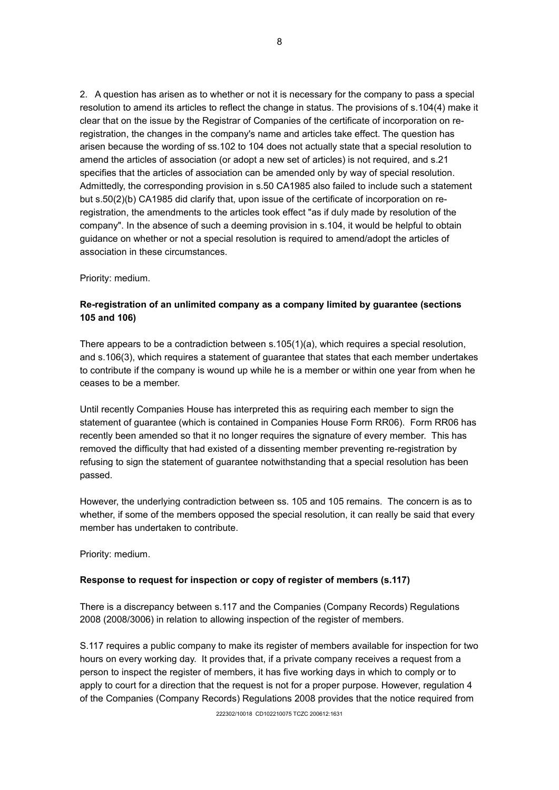2. A question has arisen as to whether or not it is necessary for the company to pass a special resolution to amend its articles to reflect the change in status. The provisions of s.104(4) make it clear that on the issue by the Registrar of Companies of the certificate of incorporation on reregistration, the changes in the company's name and articles take effect. The question has arisen because the wording of ss.102 to 104 does not actually state that a special resolution to amend the articles of association (or adopt a new set of articles) is not required, and s.21 specifies that the articles of association can be amended only by way of special resolution. Admittedly, the corresponding provision in s.50 CA1985 also failed to include such a statement but s.50(2)(b) CA1985 did clarify that, upon issue of the certificate of incorporation on reregistration, the amendments to the articles took effect "as if duly made by resolution of the company". In the absence of such a deeming provision in s.104, it would be helpful to obtain guidance on whether or not a special resolution is required to amend/adopt the articles of association in these circumstances.

Priority: medium.

# **Re-registration of an unlimited company as a company limited by guarantee (sections 105 and 106)**

There appears to be a contradiction between s.105(1)(a), which requires a special resolution, and s.106(3), which requires a statement of guarantee that states that each member undertakes to contribute if the company is wound up while he is a member or within one year from when he ceases to be a member.

Until recently Companies House has interpreted this as requiring each member to sign the statement of guarantee (which is contained in Companies House Form RR06). Form RR06 has recently been amended so that it no longer requires the signature of every member. This has removed the difficulty that had existed of a dissenting member preventing re-registration by refusing to sign the statement of guarantee notwithstanding that a special resolution has been passed.

However, the underlying contradiction between ss. 105 and 105 remains. The concern is as to whether, if some of the members opposed the special resolution, it can really be said that every member has undertaken to contribute.

Priority: medium.

# **Response to request for inspection or copy of register of members (s.117)**

There is a discrepancy between s.117 and the Companies (Company Records) Regulations 2008 (2008/3006) in relation to allowing inspection of the register of members.

S.117 requires a public company to make its register of members available for inspection for two hours on every working day. It provides that, if a private company receives a request from a person to inspect the register of members, it has five working days in which to comply or to apply to court for a direction that the request is not for a proper purpose. However, regulation 4 of the Companies (Company Records) Regulations 2008 provides that the notice required from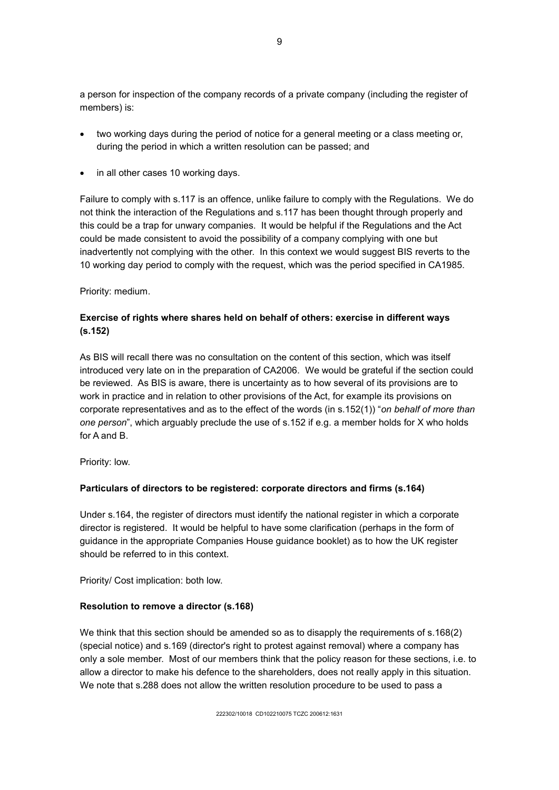a person for inspection of the company records of a private company (including the register of members) is:

- two working days during the period of notice for a general meeting or a class meeting or, during the period in which a written resolution can be passed; and
- in all other cases 10 working days.

Failure to comply with s.117 is an offence, unlike failure to comply with the Regulations. We do not think the interaction of the Regulations and s.117 has been thought through properly and this could be a trap for unwary companies. It would be helpful if the Regulations and the Act could be made consistent to avoid the possibility of a company complying with one but inadvertently not complying with the other. In this context we would suggest BIS reverts to the 10 working day period to comply with the request, which was the period specified in CA1985.

Priority: medium.

# **Exercise of rights where shares held on behalf of others: exercise in different ways (s.152)**

As BIS will recall there was no consultation on the content of this section, which was itself introduced very late on in the preparation of CA2006. We would be grateful if the section could be reviewed. As BIS is aware, there is uncertainty as to how several of its provisions are to work in practice and in relation to other provisions of the Act, for example its provisions on corporate representatives and as to the effect of the words (in s.152(1)) "*on behalf of more than one person*", which arguably preclude the use of s.152 if e.g. a member holds for X who holds for A and B.

Priority: low.

## **Particulars of directors to be registered: corporate directors and firms (s.164)**

Under s.164, the register of directors must identify the national register in which a corporate director is registered. It would be helpful to have some clarification (perhaps in the form of guidance in the appropriate Companies House guidance booklet) as to how the UK register should be referred to in this context.

Priority/ Cost implication: both low.

## **Resolution to remove a director (s.168)**

We think that this section should be amended so as to disapply the requirements of s.168(2) (special notice) and s.169 (director's right to protest against removal) where a company has only a sole member. Most of our members think that the policy reason for these sections, i.e. to allow a director to make his defence to the shareholders, does not really apply in this situation. We note that s.288 does not allow the written resolution procedure to be used to pass a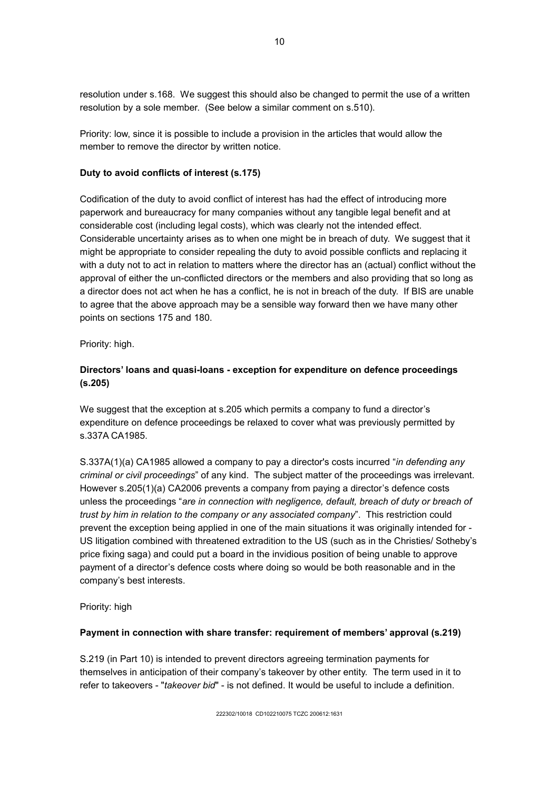resolution under s.168. We suggest this should also be changed to permit the use of a written resolution by a sole member. (See below a similar comment on s.510).

Priority: low, since it is possible to include a provision in the articles that would allow the member to remove the director by written notice.

#### **Duty to avoid conflicts of interest (s.175)**

Codification of the duty to avoid conflict of interest has had the effect of introducing more paperwork and bureaucracy for many companies without any tangible legal benefit and at considerable cost (including legal costs), which was clearly not the intended effect. Considerable uncertainty arises as to when one might be in breach of duty. We suggest that it might be appropriate to consider repealing the duty to avoid possible conflicts and replacing it with a duty not to act in relation to matters where the director has an (actual) conflict without the approval of either the un-conflicted directors or the members and also providing that so long as a director does not act when he has a conflict, he is not in breach of the duty. If BIS are unable to agree that the above approach may be a sensible way forward then we have many other points on sections 175 and 180.

Priority: high.

## **Directors' loans and quasi-loans - exception for expenditure on defence proceedings (s.205)**

We suggest that the exception at s.205 which permits a company to fund a director's expenditure on defence proceedings be relaxed to cover what was previously permitted by s.337A CA1985.

S.337A(1)(a) CA1985 allowed a company to pay a director's costs incurred "*in defending any criminal or civil proceedings*" of any kind. The subject matter of the proceedings was irrelevant. However s.205(1)(a) CA2006 prevents a company from paying a director's defence costs unless the proceedings "*are in connection with negligence, default, breach of duty or breach of trust by him in relation to the company or any associated company*". This restriction could prevent the exception being applied in one of the main situations it was originally intended for - US litigation combined with threatened extradition to the US (such as in the Christies/ Sotheby's price fixing saga) and could put a board in the invidious position of being unable to approve payment of a director's defence costs where doing so would be both reasonable and in the company's best interests.

Priority: high

#### **Payment in connection with share transfer: requirement of members' approval (s.219)**

S.219 (in Part 10) is intended to prevent directors agreeing termination payments for themselves in anticipation of their company's takeover by other entity. The term used in it to refer to takeovers - "*takeover bid*" - is not defined. It would be useful to include a definition.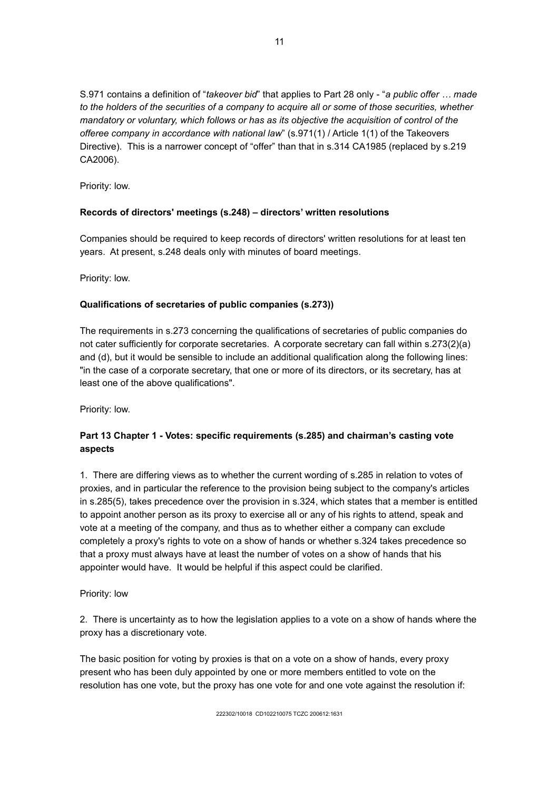S.971 contains a definition of "*takeover bid*" that applies to Part 28 only - "*a public offer … made to the holders of the securities of a company to acquire all or some of those securities, whether mandatory or voluntary, which follows or has as its objective the acquisition of control of the offeree company in accordance with national law*" (s.971(1) / Article 1(1) of the Takeovers Directive). This is a narrower concept of "offer" than that in s.314 CA1985 (replaced by s.219 CA2006).

Priority: low.

## **Records of directors' meetings (s.248) – directors' written resolutions**

Companies should be required to keep records of directors' written resolutions for at least ten years. At present, s.248 deals only with minutes of board meetings.

Priority: low.

## **Qualifications of secretaries of public companies (s.273))**

The requirements in s.273 concerning the qualifications of secretaries of public companies do not cater sufficiently for corporate secretaries. A corporate secretary can fall within s.273(2)(a) and (d), but it would be sensible to include an additional qualification along the following lines: "in the case of a corporate secretary, that one or more of its directors, or its secretary, has at least one of the above qualifications".

Priority: low.

# **Part 13 Chapter 1 - Votes: specific requirements (s.285) and chairman's casting vote aspects**

1. There are differing views as to whether the current wording of s.285 in relation to votes of proxies, and in particular the reference to the provision being subject to the company's articles in s.285(5), takes precedence over the provision in s.324, which states that a member is entitled to appoint another person as its proxy to exercise all or any of his rights to attend, speak and vote at a meeting of the company, and thus as to whether either a company can exclude completely a proxy's rights to vote on a show of hands or whether s.324 takes precedence so that a proxy must always have at least the number of votes on a show of hands that his appointer would have. It would be helpful if this aspect could be clarified.

Priority: low

2. There is uncertainty as to how the legislation applies to a vote on a show of hands where the proxy has a discretionary vote.

The basic position for voting by proxies is that on a vote on a show of hands, every proxy present who has been duly appointed by one or more members entitled to vote on the resolution has one vote, but the proxy has one vote for and one vote against the resolution if: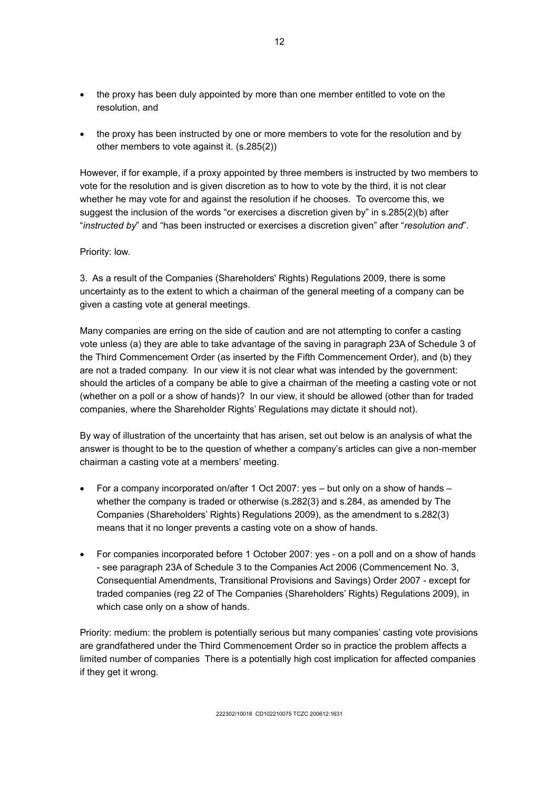- the proxy has been duly appointed by more than one member entitled to vote on the resolution, and
- the proxy has been instructed by one or more members to vote for the resolution and by other members to vote against it. (s.285(2))

However, if for example, if a proxy appointed by three members is instructed by two members to vote for the resolution and is given discretion as to how to vote by the third, it is not clear whether he may vote for and against the resolution if he chooses. To overcome this, we suggest the inclusion of the words "or exercises a discretion given by" in s.285(2)(b) after "*instructed by*" and "has been instructed or exercises a discretion given" after "*resolution and*".

#### Priority: low.

3. As a result of the Companies (Shareholders' Rights) Regulations 2009, there is some uncertainty as to the extent to which a chairman of the general meeting of a company can be given a casting vote at general meetings.

Many companies are erring on the side of caution and are not attempting to confer a casting vote unless (a) they are able to take advantage of the saving in paragraph 23A of Schedule 3 of the Third Commencement Order (as inserted by the Fifth Commencement Order), and (b) they are not a traded company. In our view it is not clear what was intended by the government: should the articles of a company be able to give a chairman of the meeting a casting vote or not (whether on a poll or a show of hands)? In our view, it should be allowed (other than for traded companies, where the Shareholder Rights' Regulations may dictate it should not).

By way of illustration of the uncertainty that has arisen, set out below is an analysis of what the answer is thought to be to the question of whether a company's articles can give a non-member chairman a casting vote at a members' meeting.

- For a company incorporated on/after 1 Oct 2007: yes but only on a show of hands whether the company is traded or otherwise (s.282(3) and s.284, as amended by The Companies (Shareholders' Rights) Regulations 2009), as the amendment to s.282(3) means that it no longer prevents a casting vote on a show of hands.
- For companies incorporated before 1 October 2007: yes on a poll and on a show of hands - see paragraph 23A of Schedule 3 to the Companies Act 2006 (Commencement No. 3, Consequential Amendments, Transitional Provisions and Savings) Order 2007 - except for traded companies (reg 22 of The Companies (Shareholders' Rights) Regulations 2009), in which case only on a show of hands.

Priority: medium: the problem is potentially serious but many companies' casting vote provisions are grandfathered under the Third Commencement Order so in practice the problem affects a limited number of companies There is a potentially high cost implication for affected companies if they get it wrong.

12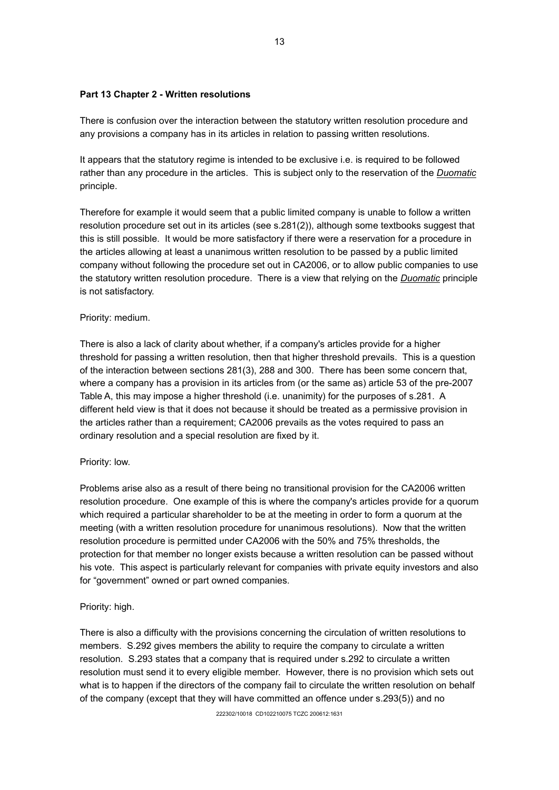#### **Part 13 Chapter 2 - Written resolutions**

There is confusion over the interaction between the statutory written resolution procedure and any provisions a company has in its articles in relation to passing written resolutions.

It appears that the statutory regime is intended to be exclusive i.e. is required to be followed rather than any procedure in the articles. This is subject only to the reservation of the *Duomatic* principle.

Therefore for example it would seem that a public limited company is unable to follow a written resolution procedure set out in its articles (see s.281(2)), although some textbooks suggest that this is still possible. It would be more satisfactory if there were a reservation for a procedure in the articles allowing at least a unanimous written resolution to be passed by a public limited company without following the procedure set out in CA2006, or to allow public companies to use the statutory written resolution procedure. There is a view that relying on the *Duomatic* principle is not satisfactory.

#### Priority: medium.

There is also a lack of clarity about whether, if a company's articles provide for a higher threshold for passing a written resolution, then that higher threshold prevails. This is a question of the interaction between sections 281(3), 288 and 300. There has been some concern that, where a company has a provision in its articles from (or the same as) article 53 of the pre-2007 Table A, this may impose a higher threshold (i.e. unanimity) for the purposes of s.281. A different held view is that it does not because it should be treated as a permissive provision in the articles rather than a requirement; CA2006 prevails as the votes required to pass an ordinary resolution and a special resolution are fixed by it.

#### Priority: low.

Problems arise also as a result of there being no transitional provision for the CA2006 written resolution procedure. One example of this is where the company's articles provide for a quorum which required a particular shareholder to be at the meeting in order to form a quorum at the meeting (with a written resolution procedure for unanimous resolutions). Now that the written resolution procedure is permitted under CA2006 with the 50% and 75% thresholds, the protection for that member no longer exists because a written resolution can be passed without his vote. This aspect is particularly relevant for companies with private equity investors and also for "government" owned or part owned companies.

## Priority: high.

There is also a difficulty with the provisions concerning the circulation of written resolutions to members. S.292 gives members the ability to require the company to circulate a written resolution. S.293 states that a company that is required under s.292 to circulate a written resolution must send it to every eligible member. However, there is no provision which sets out what is to happen if the directors of the company fail to circulate the written resolution on behalf of the company (except that they will have committed an offence under s.293(5)) and no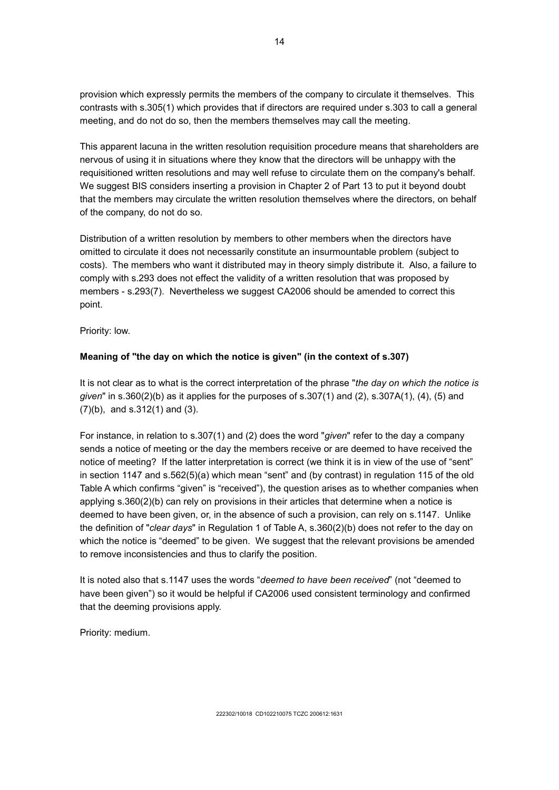provision which expressly permits the members of the company to circulate it themselves. This contrasts with s.305(1) which provides that if directors are required under s.303 to call a general meeting, and do not do so, then the members themselves may call the meeting.

This apparent lacuna in the written resolution requisition procedure means that shareholders are nervous of using it in situations where they know that the directors will be unhappy with the requisitioned written resolutions and may well refuse to circulate them on the company's behalf. We suggest BIS considers inserting a provision in Chapter 2 of Part 13 to put it beyond doubt that the members may circulate the written resolution themselves where the directors, on behalf of the company, do not do so.

Distribution of a written resolution by members to other members when the directors have omitted to circulate it does not necessarily constitute an insurmountable problem (subject to costs). The members who want it distributed may in theory simply distribute it. Also, a failure to comply with s.293 does not effect the validity of a written resolution that was proposed by members - s.293(7). Nevertheless we suggest CA2006 should be amended to correct this point.

Priority: low.

## **Meaning of "the day on which the notice is given" (in the context of s.307)**

It is not clear as to what is the correct interpretation of the phrase "*the day on which the notice is given*" in s.360(2)(b) as it applies for the purposes of s.307(1) and (2), s.307A(1), (4), (5) and (7)(b), and s.312(1) and (3).

For instance, in relation to s.307(1) and (2) does the word "*given*" refer to the day a company sends a notice of meeting or the day the members receive or are deemed to have received the notice of meeting? If the latter interpretation is correct (we think it is in view of the use of "sent" in section 1147 and s.562(5)(a) which mean "sent" and (by contrast) in regulation 115 of the old Table A which confirms "given" is "received"), the question arises as to whether companies when applying s.360(2)(b) can rely on provisions in their articles that determine when a notice is deemed to have been given, or, in the absence of such a provision, can rely on s.1147. Unlike the definition of "*clear days*" in Regulation 1 of Table A, s.360(2)(b) does not refer to the day on which the notice is "deemed" to be given. We suggest that the relevant provisions be amended to remove inconsistencies and thus to clarify the position.

It is noted also that s.1147 uses the words "*deemed to have been received*" (not "deemed to have been given") so it would be helpful if CA2006 used consistent terminology and confirmed that the deeming provisions apply.

Priority: medium.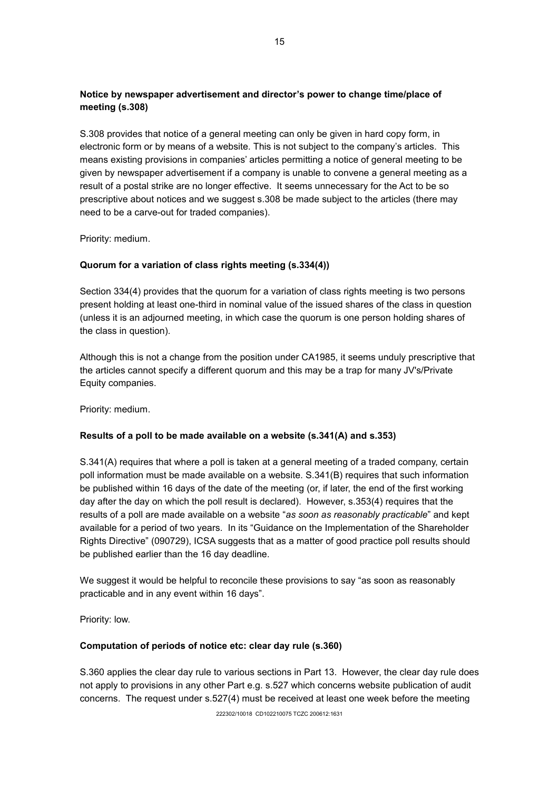# **Notice by newspaper advertisement and director's power to change time/place of meeting (s.308)**

S.308 provides that notice of a general meeting can only be given in hard copy form, in electronic form or by means of a website. This is not subject to the company's articles. This means existing provisions in companies' articles permitting a notice of general meeting to be given by newspaper advertisement if a company is unable to convene a general meeting as a result of a postal strike are no longer effective. It seems unnecessary for the Act to be so prescriptive about notices and we suggest s.308 be made subject to the articles (there may need to be a carve-out for traded companies).

Priority: medium.

## **Quorum for a variation of class rights meeting (s.334(4))**

Section 334(4) provides that the quorum for a variation of class rights meeting is two persons present holding at least one-third in nominal value of the issued shares of the class in question (unless it is an adjourned meeting, in which case the quorum is one person holding shares of the class in question).

Although this is not a change from the position under CA1985, it seems unduly prescriptive that the articles cannot specify a different quorum and this may be a trap for many JV's/Private Equity companies.

Priority: medium.

## **Results of a poll to be made available on a website (s.341(A) and s.353)**

S.341(A) requires that where a poll is taken at a general meeting of a traded company, certain poll information must be made available on a website. S.341(B) requires that such information be published within 16 days of the date of the meeting (or, if later, the end of the first working day after the day on which the poll result is declared). However, s.353(4) requires that the results of a poll are made available on a website "*as soon as reasonably practicable*" and kept available for a period of two years. In its "Guidance on the Implementation of the Shareholder Rights Directive" (090729), ICSA suggests that as a matter of good practice poll results should be published earlier than the 16 day deadline.

We suggest it would be helpful to reconcile these provisions to say "as soon as reasonably practicable and in any event within 16 days".

Priority: low.

#### **Computation of periods of notice etc: clear day rule (s.360)**

S.360 applies the clear day rule to various sections in Part 13. However, the clear day rule does not apply to provisions in any other Part e.g. s.527 which concerns website publication of audit concerns. The request under s.527(4) must be received at least one week before the meeting

222302/10018 CD102210075 TCZC 200612:1631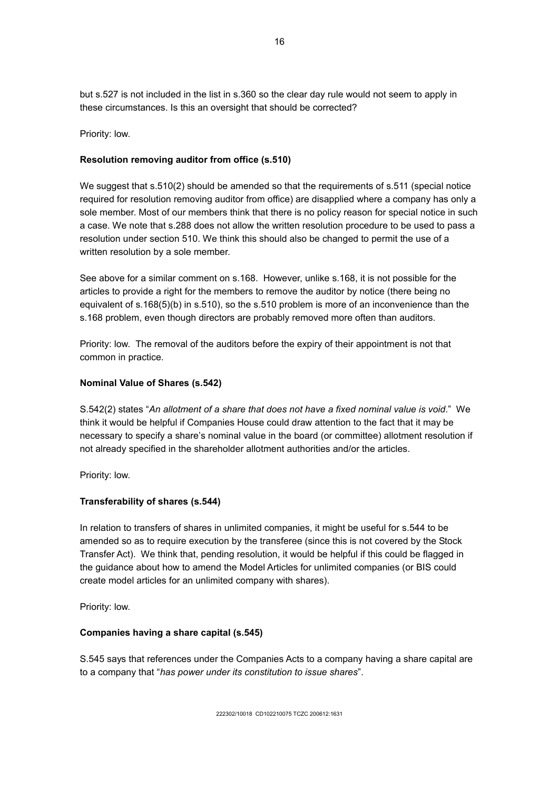but s.527 is not included in the list in s.360 so the clear day rule would not seem to apply in these circumstances. Is this an oversight that should be corrected?

Priority: low.

#### **Resolution removing auditor from office (s.510)**

We suggest that s.510(2) should be amended so that the requirements of s.511 (special notice required for resolution removing auditor from office) are disapplied where a company has only a sole member. Most of our members think that there is no policy reason for special notice in such a case. We note that s.288 does not allow the written resolution procedure to be used to pass a resolution under section 510. We think this should also be changed to permit the use of a written resolution by a sole member.

See above for a similar comment on s.168. However, unlike s.168, it is not possible for the articles to provide a right for the members to remove the auditor by notice (there being no equivalent of s.168(5)(b) in s.510), so the s.510 problem is more of an inconvenience than the s.168 problem, even though directors are probably removed more often than auditors.

Priority: low. The removal of the auditors before the expiry of their appointment is not that common in practice.

#### **Nominal Value of Shares (s.542)**

S.542(2) states "*An allotment of a share that does not have a fixed nominal value is void*." We think it would be helpful if Companies House could draw attention to the fact that it may be necessary to specify a share's nominal value in the board (or committee) allotment resolution if not already specified in the shareholder allotment authorities and/or the articles.

Priority: low.

## **Transferability of shares (s.544)**

In relation to transfers of shares in unlimited companies, it might be useful for s.544 to be amended so as to require execution by the transferee (since this is not covered by the Stock Transfer Act). We think that, pending resolution, it would be helpful if this could be flagged in the guidance about how to amend the Model Articles for unlimited companies (or BIS could create model articles for an unlimited company with shares).

Priority: low.

#### **Companies having a share capital (s.545)**

S.545 says that references under the Companies Acts to a company having a share capital are to a company that "*has power under its constitution to issue shares*".

16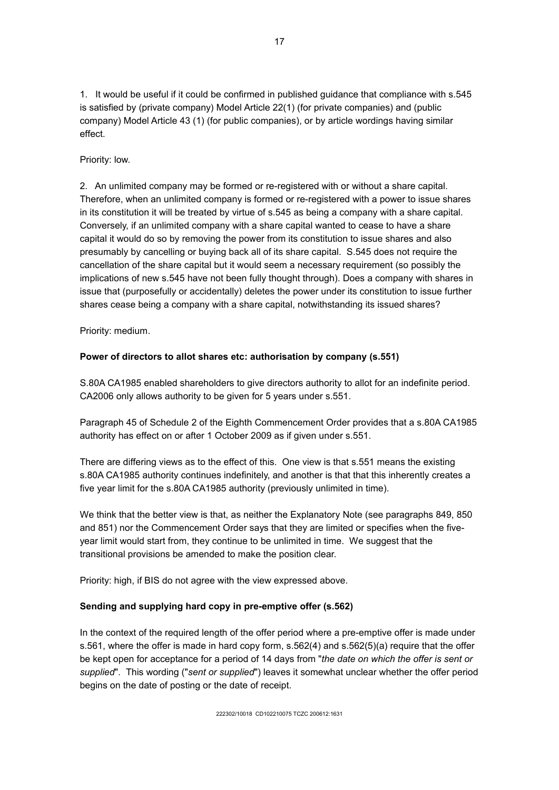1. It would be useful if it could be confirmed in published guidance that compliance with s.545 is satisfied by (private company) Model Article 22(1) (for private companies) and (public company) Model Article 43 (1) (for public companies), or by article wordings having similar effect.

## Priority: low.

2. An unlimited company may be formed or re-registered with or without a share capital. Therefore, when an unlimited company is formed or re-registered with a power to issue shares in its constitution it will be treated by virtue of s.545 as being a company with a share capital. Conversely, if an unlimited company with a share capital wanted to cease to have a share capital it would do so by removing the power from its constitution to issue shares and also presumably by cancelling or buying back all of its share capital. S.545 does not require the cancellation of the share capital but it would seem a necessary requirement (so possibly the implications of new s.545 have not been fully thought through). Does a company with shares in issue that (purposefully or accidentally) deletes the power under its constitution to issue further shares cease being a company with a share capital, notwithstanding its issued shares?

Priority: medium.

# **Power of directors to allot shares etc: authorisation by company (s.551)**

S.80A CA1985 enabled shareholders to give directors authority to allot for an indefinite period. CA2006 only allows authority to be given for 5 years under s.551.

Paragraph 45 of Schedule 2 of the Eighth Commencement Order provides that a s.80A CA1985 authority has effect on or after 1 October 2009 as if given under s.551.

There are differing views as to the effect of this. One view is that s.551 means the existing s.80A CA1985 authority continues indefinitely, and another is that that this inherently creates a five year limit for the s.80A CA1985 authority (previously unlimited in time).

We think that the better view is that, as neither the Explanatory Note (see paragraphs 849, 850 and 851) nor the Commencement Order says that they are limited or specifies when the fiveyear limit would start from, they continue to be unlimited in time. We suggest that the transitional provisions be amended to make the position clear.

Priority: high, if BIS do not agree with the view expressed above.

## **Sending and supplying hard copy in pre-emptive offer (s.562)**

In the context of the required length of the offer period where a pre-emptive offer is made under s.561, where the offer is made in hard copy form, s.562(4) and s.562(5)(a) require that the offer be kept open for acceptance for a period of 14 days from "*the date on which the offer is sent or supplied*". This wording ("*sent or supplied*") leaves it somewhat unclear whether the offer period begins on the date of posting or the date of receipt.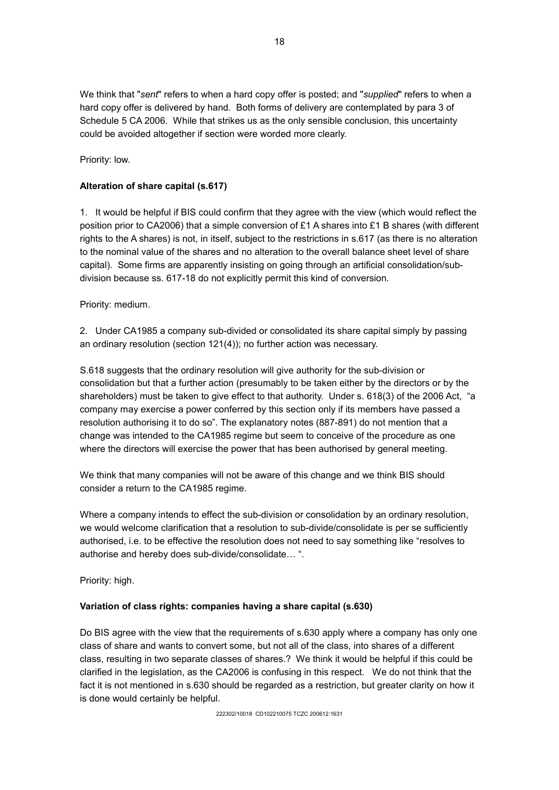We think that "*sent*" refers to when a hard copy offer is posted; and "*supplied*" refers to when a hard copy offer is delivered by hand. Both forms of delivery are contemplated by para 3 of Schedule 5 CA 2006. While that strikes us as the only sensible conclusion, this uncertainty could be avoided altogether if section were worded more clearly.

Priority: low.

## **Alteration of share capital (s.617)**

1. It would be helpful if BIS could confirm that they agree with the view (which would reflect the position prior to CA2006) that a simple conversion of £1 A shares into £1 B shares (with different rights to the A shares) is not, in itself, subject to the restrictions in s.617 (as there is no alteration to the nominal value of the shares and no alteration to the overall balance sheet level of share capital). Some firms are apparently insisting on going through an artificial consolidation/subdivision because ss. 617-18 do not explicitly permit this kind of conversion.

Priority: medium.

2. Under CA1985 a company sub-divided or consolidated its share capital simply by passing an ordinary resolution (section 121(4)); no further action was necessary.

S.618 suggests that the ordinary resolution will give authority for the sub-division or consolidation but that a further action (presumably to be taken either by the directors or by the shareholders) must be taken to give effect to that authority. Under s. 618(3) of the 2006 Act, "a company may exercise a power conferred by this section only if its members have passed a resolution authorising it to do so". The explanatory notes (887-891) do not mention that a change was intended to the CA1985 regime but seem to conceive of the procedure as one where the directors will exercise the power that has been authorised by general meeting.

We think that many companies will not be aware of this change and we think BIS should consider a return to the CA1985 regime.

Where a company intends to effect the sub-division or consolidation by an ordinary resolution, we would welcome clarification that a resolution to sub-divide/consolidate is per se sufficiently authorised, i.e. to be effective the resolution does not need to say something like "resolves to authorise and hereby does sub-divide/consolidate… ".

Priority: high.

## **Variation of class rights: companies having a share capital (s.630)**

Do BIS agree with the view that the requirements of s.630 apply where a company has only one class of share and wants to convert some, but not all of the class, into shares of a different class, resulting in two separate classes of shares.? We think it would be helpful if this could be clarified in the legislation, as the CA2006 is confusing in this respect. We do not think that the fact it is not mentioned in s.630 should be regarded as a restriction, but greater clarity on how it is done would certainly be helpful.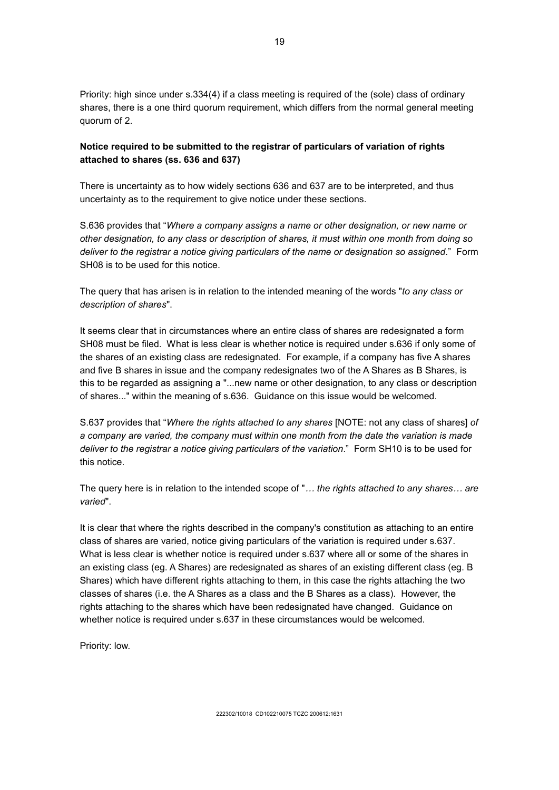Priority: high since under s.334(4) if a class meeting is required of the (sole) class of ordinary shares, there is a one third quorum requirement, which differs from the normal general meeting quorum of 2.

# **Notice required to be submitted to the registrar of particulars of variation of rights attached to shares (ss. 636 and 637)**

There is uncertainty as to how widely sections 636 and 637 are to be interpreted, and thus uncertainty as to the requirement to give notice under these sections.

S.636 provides that "*Where a company assigns a name or other designation, or new name or other designation, to any class or description of shares, it must within one month from doing so deliver to the registrar a notice giving particulars of the name or designation so assigned*." Form SH08 is to be used for this notice.

The query that has arisen is in relation to the intended meaning of the words "*to any class or description of shares*".

It seems clear that in circumstances where an entire class of shares are redesignated a form SH08 must be filed. What is less clear is whether notice is required under s.636 if only some of the shares of an existing class are redesignated. For example, if a company has five A shares and five B shares in issue and the company redesignates two of the A Shares as B Shares, is this to be regarded as assigning a "...new name or other designation, to any class or description of shares..." within the meaning of s.636. Guidance on this issue would be welcomed.

S.637 provides that "*Where the rights attached to any shares* [NOTE: not any class of shares] *of a company are varied, the company must within one month from the date the variation is made deliver to the registrar a notice giving particulars of the variation*." Form SH10 is to be used for this notice.

The query here is in relation to the intended scope of "*… the rights attached to any shares… are varied*".

It is clear that where the rights described in the company's constitution as attaching to an entire class of shares are varied, notice giving particulars of the variation is required under s.637. What is less clear is whether notice is required under s.637 where all or some of the shares in an existing class (eg. A Shares) are redesignated as shares of an existing different class (eg. B Shares) which have different rights attaching to them, in this case the rights attaching the two classes of shares (i.e. the A Shares as a class and the B Shares as a class). However, the rights attaching to the shares which have been redesignated have changed. Guidance on whether notice is required under s.637 in these circumstances would be welcomed.

Priority: low.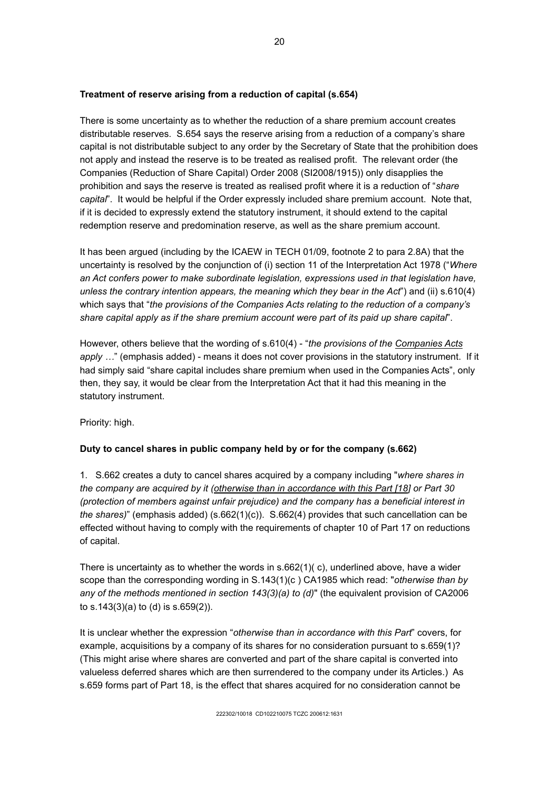## **Treatment of reserve arising from a reduction of capital (s.654)**

There is some uncertainty as to whether the reduction of a share premium account creates distributable reserves. S.654 says the reserve arising from a reduction of a company's share capital is not distributable subject to any order by the Secretary of State that the prohibition does not apply and instead the reserve is to be treated as realised profit. The relevant order (the Companies (Reduction of Share Capital) Order 2008 (SI2008/1915)) only disapplies the prohibition and says the reserve is treated as realised profit where it is a reduction of "*share capital*". It would be helpful if the Order expressly included share premium account. Note that, if it is decided to expressly extend the statutory instrument, it should extend to the capital redemption reserve and predomination reserve, as well as the share premium account.

It has been argued (including by the ICAEW in TECH 01/09, footnote 2 to para 2.8A) that the uncertainty is resolved by the conjunction of (i) section 11 of the Interpretation Act 1978 ("*Where an Act confers power to make subordinate legislation, expressions used in that legislation have, unless the contrary intention appears, the meaning which they bear in the Act*") and (ii) s.610(4) which says that "*the provisions of the Companies Acts relating to the reduction of a company's share capital apply as if the share premium account were part of its paid up share capital*".

However, others believe that the wording of s.610(4) - "*the provisions of the Companies Acts* apply ..." (emphasis added) - means it does not cover provisions in the statutory instrument. If it had simply said "share capital includes share premium when used in the Companies Acts", only then, they say, it would be clear from the Interpretation Act that it had this meaning in the statutory instrument.

Priority: high.

# **Duty to cancel shares in public company held by or for the company (s.662)**

1. S.662 creates a duty to cancel shares acquired by a company including "*where shares in the company are acquired by it (otherwise than in accordance with this Part [18] or Part 30 (protection of members against unfair prejudice) and the company has a beneficial interest in the shares)*" (emphasis added) (s.662(1)(c)). S.662(4) provides that such cancellation can be effected without having to comply with the requirements of chapter 10 of Part 17 on reductions of capital.

There is uncertainty as to whether the words in  $s.662(1)(c)$ , underlined above, have a wider scope than the corresponding wording in S.143(1)(c ) CA1985 which read: "*otherwise than by any of the methods mentioned in section 143(3)(a) to (d)*" (the equivalent provision of CA2006 to s.143(3)(a) to (d) is s.659(2)).

It is unclear whether the expression "*otherwise than in accordance with this Part*" covers, for example, acquisitions by a company of its shares for no consideration pursuant to s.659(1)? (This might arise where shares are converted and part of the share capital is converted into valueless deferred shares which are then surrendered to the company under its Articles.) As s.659 forms part of Part 18, is the effect that shares acquired for no consideration cannot be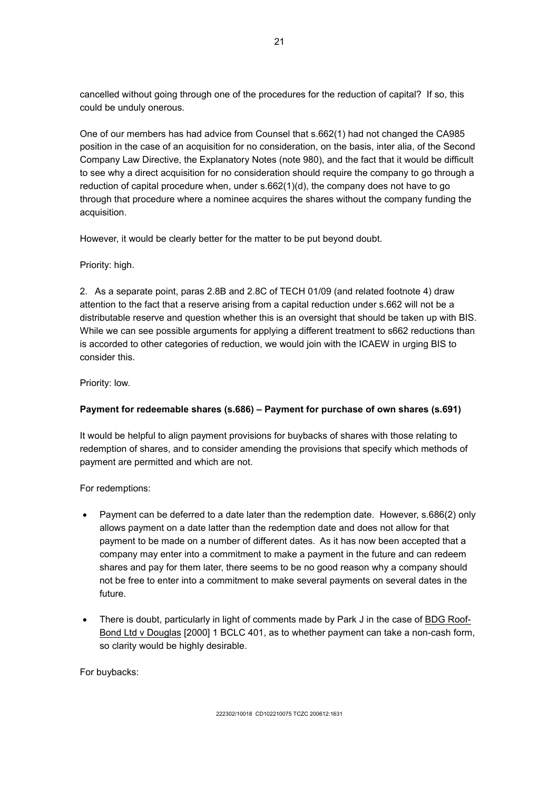cancelled without going through one of the procedures for the reduction of capital? If so, this could be unduly onerous.

One of our members has had advice from Counsel that s.662(1) had not changed the CA985 position in the case of an acquisition for no consideration, on the basis, inter alia, of the Second Company Law Directive, the Explanatory Notes (note 980), and the fact that it would be difficult to see why a direct acquisition for no consideration should require the company to go through a reduction of capital procedure when, under s.662(1)(d), the company does not have to go through that procedure where a nominee acquires the shares without the company funding the acquisition.

However, it would be clearly better for the matter to be put beyond doubt.

Priority: high.

2. As a separate point, paras 2.8B and 2.8C of TECH 01/09 (and related footnote 4) draw attention to the fact that a reserve arising from a capital reduction under s.662 will not be a distributable reserve and question whether this is an oversight that should be taken up with BIS. While we can see possible arguments for applying a different treatment to s662 reductions than is accorded to other categories of reduction, we would join with the ICAEW in urging BIS to consider this.

Priority: low.

# **Payment for redeemable shares (s.686) – Payment for purchase of own shares (s.691)**

It would be helpful to align payment provisions for buybacks of shares with those relating to redemption of shares, and to consider amending the provisions that specify which methods of payment are permitted and which are not.

For redemptions:

- Payment can be deferred to a date later than the redemption date. However, s.686(2) only allows payment on a date latter than the redemption date and does not allow for that payment to be made on a number of different dates. As it has now been accepted that a company may enter into a commitment to make a payment in the future and can redeem shares and pay for them later, there seems to be no good reason why a company should not be free to enter into a commitment to make several payments on several dates in the future.
- There is doubt, particularly in light of comments made by Park J in the case of **BDG Roof-**Bond Ltd v Douglas [2000] 1 BCLC 401, as to whether payment can take a non-cash form, so clarity would be highly desirable.

For buybacks: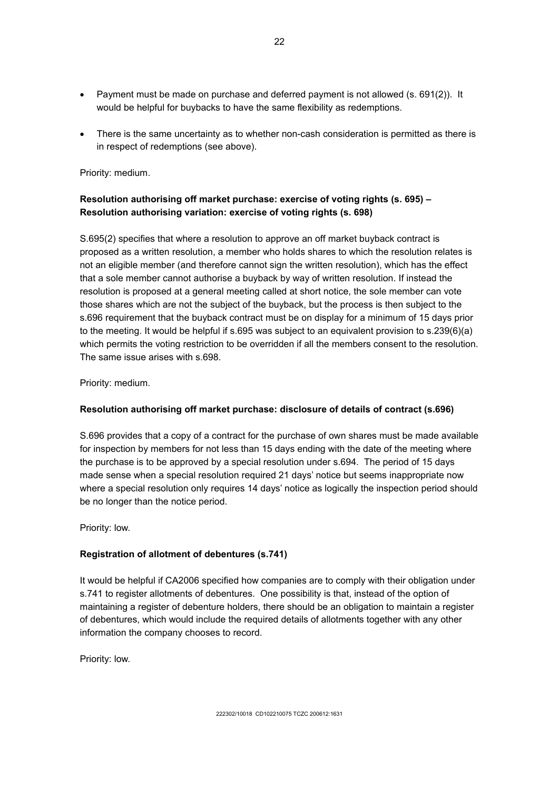- Payment must be made on purchase and deferred payment is not allowed (s. 691(2)). It would be helpful for buybacks to have the same flexibility as redemptions.
- There is the same uncertainty as to whether non-cash consideration is permitted as there is in respect of redemptions (see above).

Priority: medium.

# **Resolution authorising off market purchase: exercise of voting rights (s. 695) – Resolution authorising variation: exercise of voting rights (s. 698)**

S.695(2) specifies that where a resolution to approve an off market buyback contract is proposed as a written resolution, a member who holds shares to which the resolution relates is not an eligible member (and therefore cannot sign the written resolution), which has the effect that a sole member cannot authorise a buyback by way of written resolution. If instead the resolution is proposed at a general meeting called at short notice, the sole member can vote those shares which are not the subject of the buyback, but the process is then subject to the s.696 requirement that the buyback contract must be on display for a minimum of 15 days prior to the meeting. It would be helpful if s.695 was subject to an equivalent provision to s.239(6)(a) which permits the voting restriction to be overridden if all the members consent to the resolution. The same issue arises with s.698.

Priority: medium.

## **Resolution authorising off market purchase: disclosure of details of contract (s.696)**

S.696 provides that a copy of a contract for the purchase of own shares must be made available for inspection by members for not less than 15 days ending with the date of the meeting where the purchase is to be approved by a special resolution under s.694. The period of 15 days made sense when a special resolution required 21 days' notice but seems inappropriate now where a special resolution only requires 14 days' notice as logically the inspection period should be no longer than the notice period.

Priority: low.

## **Registration of allotment of debentures (s.741)**

It would be helpful if CA2006 specified how companies are to comply with their obligation under s.741 to register allotments of debentures. One possibility is that, instead of the option of maintaining a register of debenture holders, there should be an obligation to maintain a register of debentures, which would include the required details of allotments together with any other information the company chooses to record.

Priority: low.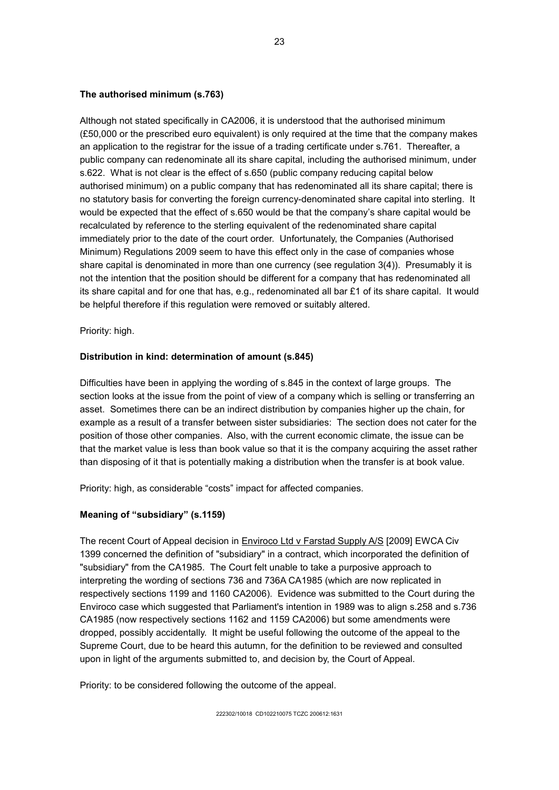#### **The authorised minimum (s.763)**

Although not stated specifically in CA2006, it is understood that the authorised minimum (£50,000 or the prescribed euro equivalent) is only required at the time that the company makes an application to the registrar for the issue of a trading certificate under s.761. Thereafter, a public company can redenominate all its share capital, including the authorised minimum, under s.622. What is not clear is the effect of s.650 (public company reducing capital below authorised minimum) on a public company that has redenominated all its share capital; there is no statutory basis for converting the foreign currency-denominated share capital into sterling. It would be expected that the effect of s.650 would be that the company's share capital would be recalculated by reference to the sterling equivalent of the redenominated share capital immediately prior to the date of the court order. Unfortunately, the Companies (Authorised Minimum) Regulations 2009 seem to have this effect only in the case of companies whose share capital is denominated in more than one currency (see regulation 3(4)). Presumably it is not the intention that the position should be different for a company that has redenominated all its share capital and for one that has, e.g., redenominated all bar £1 of its share capital. It would be helpful therefore if this regulation were removed or suitably altered.

Priority: high.

## **Distribution in kind: determination of amount (s.845)**

Difficulties have been in applying the wording of s.845 in the context of large groups. The section looks at the issue from the point of view of a company which is selling or transferring an asset. Sometimes there can be an indirect distribution by companies higher up the chain, for example as a result of a transfer between sister subsidiaries: The section does not cater for the position of those other companies. Also, with the current economic climate, the issue can be that the market value is less than book value so that it is the company acquiring the asset rather than disposing of it that is potentially making a distribution when the transfer is at book value.

Priority: high, as considerable "costs" impact for affected companies.

## **Meaning of "subsidiary" (s.1159)**

The recent Court of Appeal decision in Enviroco Ltd v Farstad Supply A/S [2009] EWCA Civ 1399 concerned the definition of "subsidiary" in a contract, which incorporated the definition of "subsidiary" from the CA1985. The Court felt unable to take a purposive approach to interpreting the wording of sections 736 and 736A CA1985 (which are now replicated in respectively sections 1199 and 1160 CA2006). Evidence was submitted to the Court during the Enviroco case which suggested that Parliament's intention in 1989 was to align s.258 and s.736 CA1985 (now respectively sections 1162 and 1159 CA2006) but some amendments were dropped, possibly accidentally. It might be useful following the outcome of the appeal to the Supreme Court, due to be heard this autumn, for the definition to be reviewed and consulted upon in light of the arguments submitted to, and decision by, the Court of Appeal.

Priority: to be considered following the outcome of the appeal.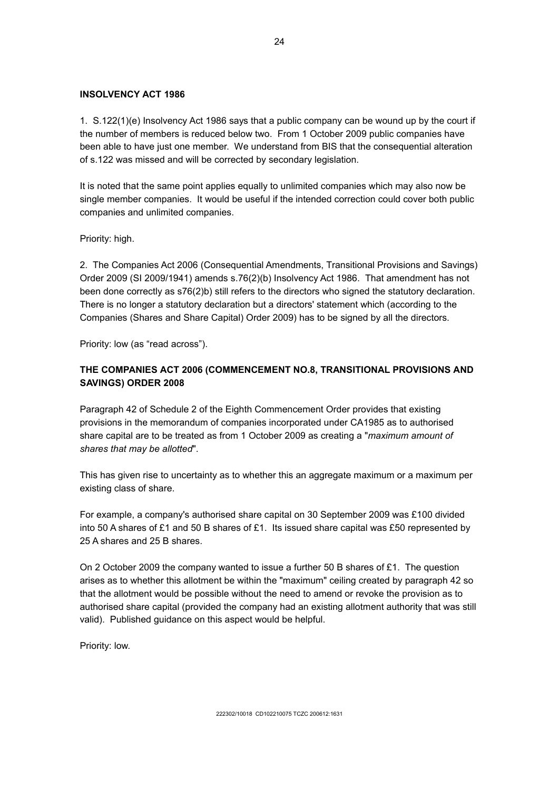#### **INSOLVENCY ACT 1986**

1. S.122(1)(e) Insolvency Act 1986 says that a public company can be wound up by the court if the number of members is reduced below two. From 1 October 2009 public companies have been able to have just one member. We understand from BIS that the consequential alteration of s.122 was missed and will be corrected by secondary legislation.

It is noted that the same point applies equally to unlimited companies which may also now be single member companies. It would be useful if the intended correction could cover both public companies and unlimited companies.

Priority: high.

2. The Companies Act 2006 (Consequential Amendments, Transitional Provisions and Savings) Order 2009 (SI 2009/1941) amends s.76(2)(b) Insolvency Act 1986. That amendment has not been done correctly as s76(2)b) still refers to the directors who signed the statutory declaration. There is no longer a statutory declaration but a directors' statement which (according to the Companies (Shares and Share Capital) Order 2009) has to be signed by all the directors.

Priority: low (as "read across").

## **THE COMPANIES ACT 2006 (COMMENCEMENT NO.8, TRANSITIONAL PROVISIONS AND SAVINGS) ORDER 2008**

Paragraph 42 of Schedule 2 of the Eighth Commencement Order provides that existing provisions in the memorandum of companies incorporated under CA1985 as to authorised share capital are to be treated as from 1 October 2009 as creating a "*maximum amount of shares that may be allotted*".

This has given rise to uncertainty as to whether this an aggregate maximum or a maximum per existing class of share.

For example, a company's authorised share capital on 30 September 2009 was £100 divided into 50 A shares of £1 and 50 B shares of £1. Its issued share capital was £50 represented by 25 A shares and 25 B shares.

On 2 October 2009 the company wanted to issue a further 50 B shares of £1. The question arises as to whether this allotment be within the "maximum" ceiling created by paragraph 42 so that the allotment would be possible without the need to amend or revoke the provision as to authorised share capital (provided the company had an existing allotment authority that was still valid). Published guidance on this aspect would be helpful.

Priority: low.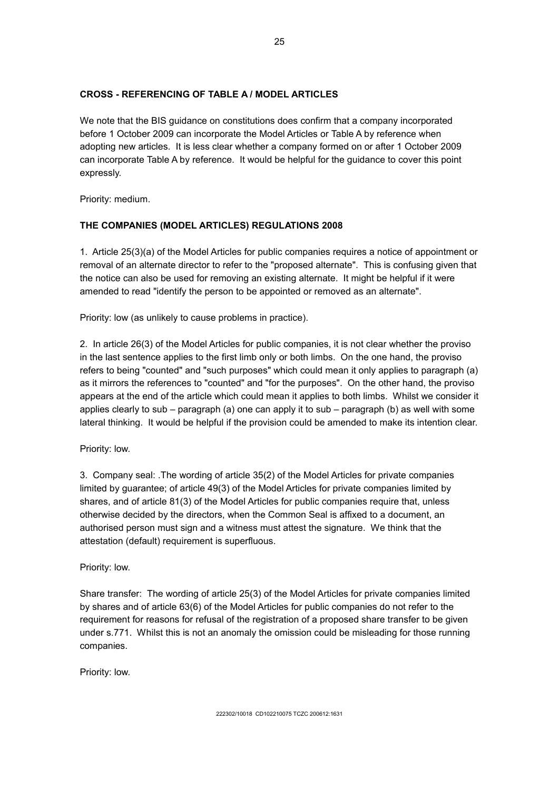## **CROSS - REFERENCING OF TABLE A / MODEL ARTICLES**

We note that the BIS guidance on constitutions does confirm that a company incorporated before 1 October 2009 can incorporate the Model Articles or Table A by reference when adopting new articles. It is less clear whether a company formed on or after 1 October 2009 can incorporate Table A by reference. It would be helpful for the guidance to cover this point expressly.

Priority: medium.

# **THE COMPANIES (MODEL ARTICLES) REGULATIONS 2008**

1. Article 25(3)(a) of the Model Articles for public companies requires a notice of appointment or removal of an alternate director to refer to the "proposed alternate". This is confusing given that the notice can also be used for removing an existing alternate. It might be helpful if it were amended to read "identify the person to be appointed or removed as an alternate".

Priority: low (as unlikely to cause problems in practice).

2. In article 26(3) of the Model Articles for public companies, it is not clear whether the proviso in the last sentence applies to the first limb only or both limbs. On the one hand, the proviso refers to being "counted" and "such purposes" which could mean it only applies to paragraph (a) as it mirrors the references to "counted" and "for the purposes". On the other hand, the proviso appears at the end of the article which could mean it applies to both limbs. Whilst we consider it applies clearly to sub – paragraph (a) one can apply it to sub – paragraph (b) as well with some lateral thinking. It would be helpful if the provision could be amended to make its intention clear.

Priority: low.

3. Company seal: .The wording of article 35(2) of the Model Articles for private companies limited by guarantee; of article 49(3) of the Model Articles for private companies limited by shares, and of article 81(3) of the Model Articles for public companies require that, unless otherwise decided by the directors, when the Common Seal is affixed to a document, an authorised person must sign and a witness must attest the signature. We think that the attestation (default) requirement is superfluous.

## Priority: low.

Share transfer: The wording of article 25(3) of the Model Articles for private companies limited by shares and of article 63(6) of the Model Articles for public companies do not refer to the requirement for reasons for refusal of the registration of a proposed share transfer to be given under s.771. Whilst this is not an anomaly the omission could be misleading for those running companies.

Priority: low.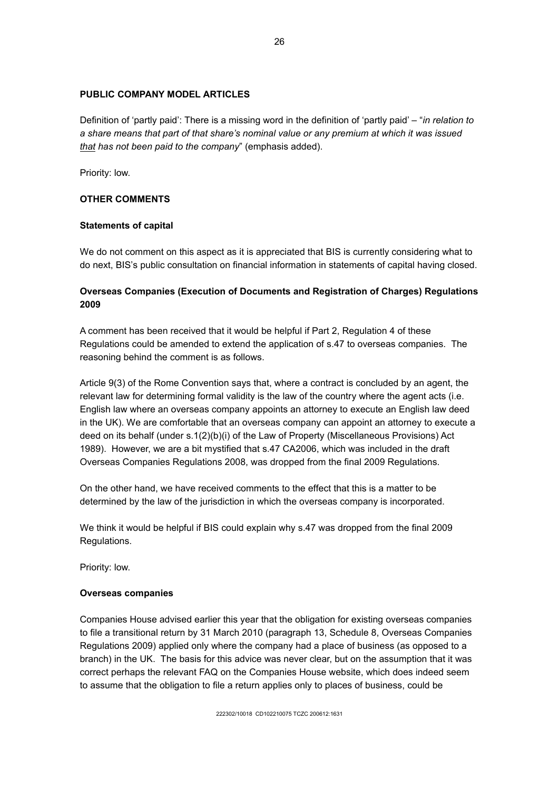#### **PUBLIC COMPANY MODEL ARTICLES**

Definition of 'partly paid': There is a missing word in the definition of 'partly paid' – "*in relation to a share means that part of that share's nominal value or any premium at which it was issued that has not been paid to the company*" (emphasis added).

Priority: low.

## **OTHER COMMENTS**

#### **Statements of capital**

We do not comment on this aspect as it is appreciated that BIS is currently considering what to do next, BIS's public consultation on financial information in statements of capital having closed.

## **Overseas Companies (Execution of Documents and Registration of Charges) Regulations 2009**

A comment has been received that it would be helpful if Part 2, Regulation 4 of these Regulations could be amended to extend the application of s.47 to overseas companies. The reasoning behind the comment is as follows.

Article 9(3) of the Rome Convention says that, where a contract is concluded by an agent, the relevant law for determining formal validity is the law of the country where the agent acts (i.e. English law where an overseas company appoints an attorney to execute an English law deed in the UK). We are comfortable that an overseas company can appoint an attorney to execute a deed on its behalf (under s.1(2)(b)(i) of the Law of Property (Miscellaneous Provisions) Act 1989). However, we are a bit mystified that s.47 CA2006, which was included in the draft Overseas Companies Regulations 2008, was dropped from the final 2009 Regulations.

On the other hand, we have received comments to the effect that this is a matter to be determined by the law of the jurisdiction in which the overseas company is incorporated.

We think it would be helpful if BIS could explain why s.47 was dropped from the final 2009 Regulations.

Priority: low.

#### **Overseas companies**

Companies House advised earlier this year that the obligation for existing overseas companies to file a transitional return by 31 March 2010 (paragraph 13, Schedule 8, Overseas Companies Regulations 2009) applied only where the company had a place of business (as opposed to a branch) in the UK. The basis for this advice was never clear, but on the assumption that it was correct perhaps the relevant FAQ on the Companies House website, which does indeed seem to assume that the obligation to file a return applies only to places of business, could be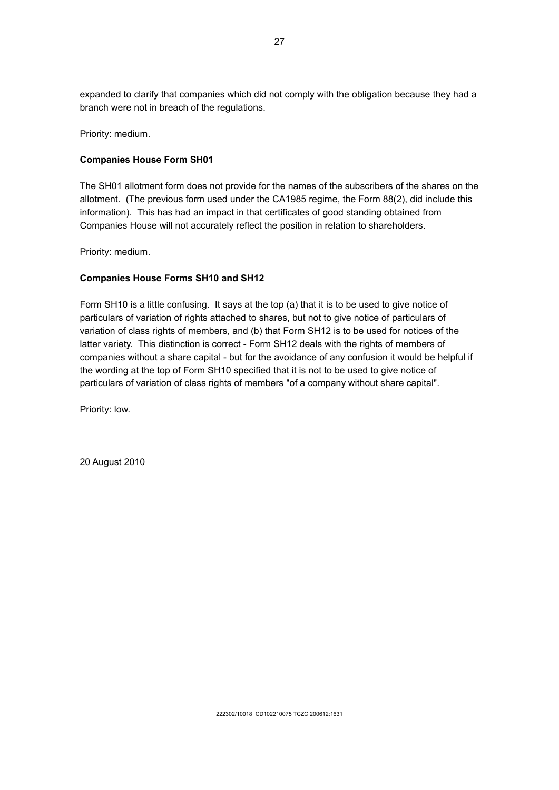expanded to clarify that companies which did not comply with the obligation because they had a branch were not in breach of the regulations.

Priority: medium.

#### **Companies House Form SH01**

The SH01 allotment form does not provide for the names of the subscribers of the shares on the allotment. (The previous form used under the CA1985 regime, the Form 88(2), did include this information). This has had an impact in that certificates of good standing obtained from Companies House will not accurately reflect the position in relation to shareholders.

Priority: medium.

## **Companies House Forms SH10 and SH12**

Form SH10 is a little confusing. It says at the top (a) that it is to be used to give notice of particulars of variation of rights attached to shares, but not to give notice of particulars of variation of class rights of members, and (b) that Form SH12 is to be used for notices of the latter variety. This distinction is correct - Form SH12 deals with the rights of members of companies without a share capital - but for the avoidance of any confusion it would be helpful if the wording at the top of Form SH10 specified that it is not to be used to give notice of particulars of variation of class rights of members "of a company without share capital".

Priority: low.

20 August 2010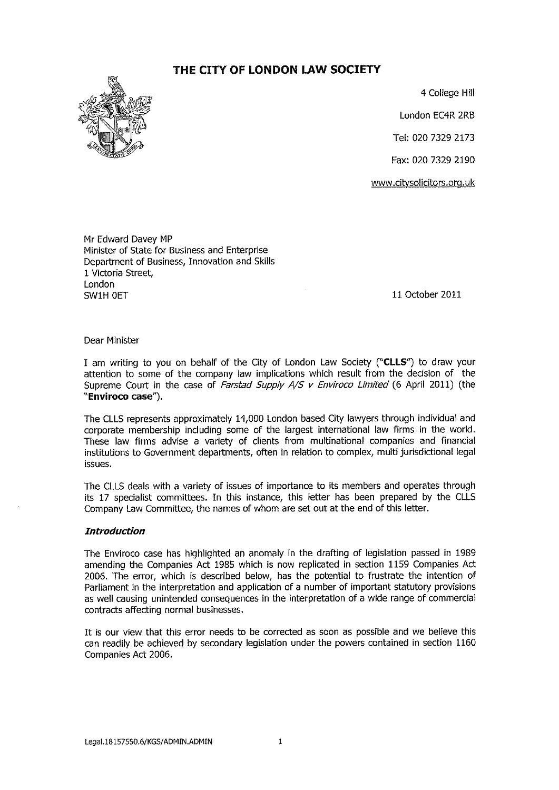# THE CITY OF LONDON LAW SOCIETY



4 College Hill

London EC4R 2RB

Tel: 020 7329 2173

Fax: 020 7329 2190

www.citysolicitors.org.uk

Mr Edward Davey MP Minister of State for Business and Enterprise Department of Business, Innovation and Skills 1 Victoria Street, London SW1H OFT

11 October 2011

#### Dear Minister

I am writing to you on behalf of the City of London Law Society ("CLLS") to draw your attention to some of the company law implications which result from the decision of the Supreme Court in the case of Farstad Supply A/S v Enviroco Limited (6 April 2011) (the "Enviroco case").

The CLLS represents approximately 14,000 London based City lawyers through individual and corporate membership including some of the largest international law firms in the world. These law firms advise a variety of clients from multinational companies and financial institutions to Government departments, often in relation to complex, multi jurisdictional legal issues.

The CLLS deals with a variety of issues of importance to its members and operates through its 17 specialist committees. In this instance, this letter has been prepared by the CLLS Company Law Committee, the names of whom are set out at the end of this letter.

#### **Introduction**

The Enviroco case has highlighted an anomaly in the drafting of legislation passed in 1989 amending the Companies Act 1985 which is now replicated in section 1159 Companies Act 2006. The error, which is described below, has the potential to frustrate the intention of Parliament in the interpretation and application of a number of important statutory provisions as well causing unintended consequences in the interpretation of a wide range of commercial contracts affecting normal businesses.

It is our view that this error needs to be corrected as soon as possible and we believe this can readily be achieved by secondary legislation under the powers contained in section 1160 Companies Act 2006.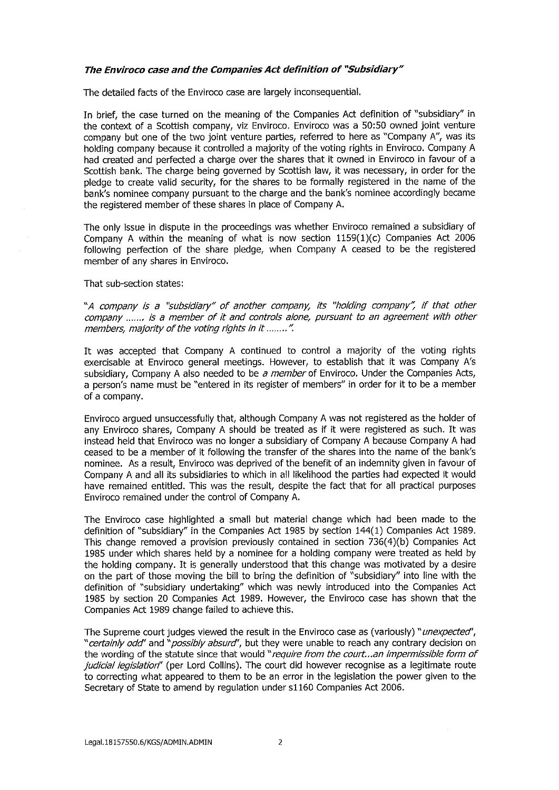#### The Enviroco case and the Companies Act definition of "Subsidiary"

The detailed facts of the Enviroco case are largely inconsequential.

In brief, the case turned on the meaning of the Companies Act definition of "subsidiary" in the context of a Scottish company, viz Enviroco. Enviroco was a 50:50 owned joint venture company but one of the two joint venture parties, referred to here as "Company A", was its holding company because it controlled a majority of the voting rights in Enviroco. Company A had created and perfected a charge over the shares that it owned in Enviroco in favour of a Scottish bank. The charge being governed by Scottish law, it was necessary, in order for the pledge to create valid security, for the shares to be formally registered in the name of the bank's nominee company pursuant to the charge and the bank's nominee accordingly became the registered member of these shares in place of Company A.

The only issue in dispute in the proceedings was whether Enviroco remained a subsidiary of Company A within the meaning of what is now section 1159(1)(c) Companies Act 2006 following perfection of the share pledge, when Company A ceased to be the registered member of any shares in Enviroco.

#### That sub-section states:

"A company is a "subsidiary" of another company, its "holding company", if that other company ....... is a member of it and controls alone, pursuant to an agreement with other members, majority of the voting rights in it ........".

It was accepted that Company A continued to control a majority of the voting rights exercisable at Enviroco general meetings. However, to establish that it was Company A's subsidiary, Company A also needed to be a member of Enviroco. Under the Companies Acts, a person's name must be "entered in its register of members" in order for it to be a member of a company.

Enviroco arqued unsuccessfully that, although Company A was not registered as the holder of any Enviroco shares, Company A should be treated as if it were registered as such. It was instead held that Enviroco was no longer a subsidiary of Company A because Company A had ceased to be a member of it following the transfer of the shares into the name of the bank's nominee. As a result, Enviroco was deprived of the benefit of an indemnity given in favour of Company A and all its subsidiaries to which in all likelihood the parties had expected it would have remained entitled. This was the result, despite the fact that for all practical purposes Enviroco remained under the control of Company A.

The Enviroco case highlighted a small but material change which had been made to the definition of "subsidiary" in the Companies Act 1985 by section 144(1) Companies Act 1989. This change removed a provision previously contained in section 736(4)(b) Companies Act 1985 under which shares held by a nominee for a holding company were treated as held by the holding company. It is generally understood that this change was motivated by a desire on the part of those moving the bill to bring the definition of "subsidiary" into line with the definition of "subsidiary undertaking" which was newly introduced into the Companies Act 1985 by section 20 Companies Act 1989. However, the Enviroco case has shown that the Companies Act 1989 change failed to achieve this.

The Supreme court judges viewed the result in the Enviroco case as (variously) "unexpected", "certainly odd" and "possibly absurd", but they were unable to reach any contrary decision on the wording of the statute since that would "require from the court...an impermissible form of judicial legislation" (per Lord Collins). The court did however recognise as a legitimate route to correcting what appeared to them to be an error in the legislation the power given to the Secretary of State to amend by regulation under s1160 Companies Act 2006.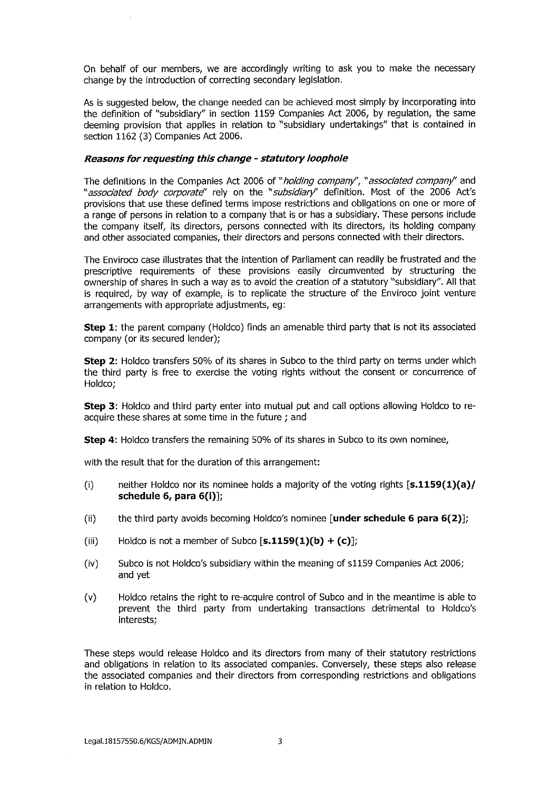On behalf of our members, we are accordingly writing to ask you to make the necessary change by the introduction of correcting secondary legislation.

As is suggested below, the change needed can be achieved most simply by incorporating into the definition of "subsidiary" in section 1159 Companies Act 2006, by regulation, the same deeming provision that applies in relation to "subsidiary undertakings" that is contained in section 1162 (3) Companies Act 2006.

#### Reasons for requesting this change - statutory loophole

The definitions in the Companies Act 2006 of "holding company", "associated company" and "associated body corporate" rely on the "subsidiary" definition. Most of the 2006 Act's provisions that use these defined terms impose restrictions and obligations on one or more of a range of persons in relation to a company that is or has a subsidiary. These persons include the company itself, its directors, persons connected with its directors, its holding company and other associated companies, their directors and persons connected with their directors.

The Enviroco case illustrates that the intention of Parliament can readily be frustrated and the prescriptive requirements of these provisions easily circumvented by structuring the ownership of shares in such a way as to avoid the creation of a statutory "subsidiary". All that is required, by way of example, is to replicate the structure of the Enviroco joint venture arrangements with appropriate adjustments, eq:

**Step 1:** the parent company (Holdco) finds an amenable third party that is not its associated company (or its secured lender);

Step 2: Holdco transfers 50% of its shares in Subco to the third party on terms under which the third party is free to exercise the voting rights without the consent or concurrence of Holdco;

Step 3: Holdco and third party enter into mutual put and call options allowing Holdco to reacquire these shares at some time in the future; and

Step 4: Holdco transfers the remaining 50% of its shares in Subco to its own nominee,

with the result that for the duration of this arrangement:

- neither Holdco nor its nominee holds a majority of the voting rights  $[s.1159(1)(a)/$  $(i)$ schedule 6, para 6(i)];
- the third party avoids becoming Holdco's nominee [under schedule 6 para 6(2)];  $(ii)$
- Holdco is not a member of Subco  $[s.1159(1)(b) + (c)]$ ;  $(iii)$
- $(iv)$ Subco is not Holdco's subsidiary within the meaning of s1159 Companies Act 2006; and yet
- Holdco retains the right to re-acquire control of Subco and in the meantime is able to  $(v)$ prevent the third party from undertaking transactions detrimental to Holdco's interests:

These steps would release Holdco and its directors from many of their statutory restrictions and obligations in relation to its associated companies. Conversely, these steps also release the associated companies and their directors from corresponding restrictions and obligations in relation to Holdco.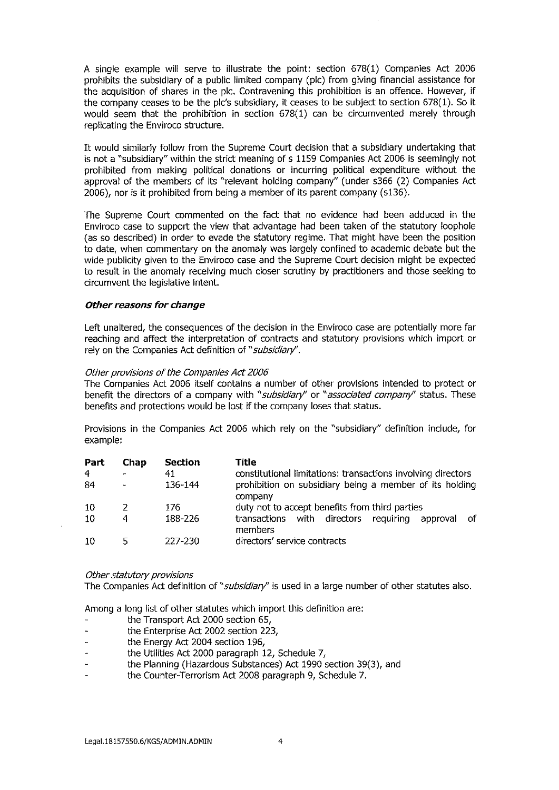A single example will serve to illustrate the point: section 678(1) Companies Act 2006 prohibits the subsidiary of a public limited company (plc) from giving financial assistance for the acquisition of shares in the plc. Contravening this prohibition is an offence. However, if the company ceases to be the plc's subsidiary, it ceases to be subject to section  $678(1)$ . So it would seem that the prohibition in section 678(1) can be circumvented merely through replicating the Enviroco structure.

It would similarly follow from the Supreme Court decision that a subsidiary undertaking that is not a "subsidiary" within the strict meaning of s 1159 Companies Act 2006 is seemingly not prohibited from making political donations or incurring political expenditure without the approval of the members of its "relevant holding company" (under s366 (2) Companies Act 2006), nor is it prohibited from being a member of its parent company (s136).

The Supreme Court commented on the fact that no evidence had been adduced in the Enviroco case to support the view that advantage had been taken of the statutory loophole (as so described) in order to evade the statutory regime. That might have been the position to date, when commentary on the anomaly was largely confined to academic debate but the wide publicity given to the Enviroco case and the Supreme Court decision might be expected to result in the anomaly receiving much closer scrutiny by practitioners and those seeking to circumvent the legislative intent.

#### Other reasons for change

Left unaltered, the consequences of the decision in the Enviroco case are potentially more far reaching and affect the interpretation of contracts and statutory provisions which import or rely on the Companies Act definition of "subsidiary".

#### Other provisions of the Companies Act 2006

The Companies Act 2006 itself contains a number of other provisions intended to protect or benefit the directors of a company with "subsidiary" or "associated company" status. These benefits and protections would be lost if the company loses that status.

Provisions in the Companies Act 2006 which rely on the "subsidiary" definition include, for example:

| Part | Chap         | Section | Title                                                                  |
|------|--------------|---------|------------------------------------------------------------------------|
| 4    | $\mathbf{r}$ | 41      | constitutional limitations: transactions involving directors           |
| -84  |              | 136-144 | prohibition on subsidiary being a member of its holding<br>company     |
| 10   |              | 176     | duty not to accept benefits from third parties                         |
| -10  | 4            | 188-226 | transactions with directors<br>requiring<br>-of<br>approval<br>members |
| -10  | 5            | 227-230 | directors' service contracts                                           |

#### Other statutory provisions

The Companies Act definition of "subsidiary" is used in a large number of other statutes also.

Among a long list of other statutes which import this definition are:

- the Transport Act 2000 section 65,
- the Enterprise Act 2002 section 223,
- the Energy Act 2004 section 196,
- the Utilities Act 2000 paragraph 12, Schedule 7,  $\overline{a}$
- the Planning (Hazardous Substances) Act 1990 section 39(3), and
- the Counter-Terrorism Act 2008 paragraph 9, Schedule 7.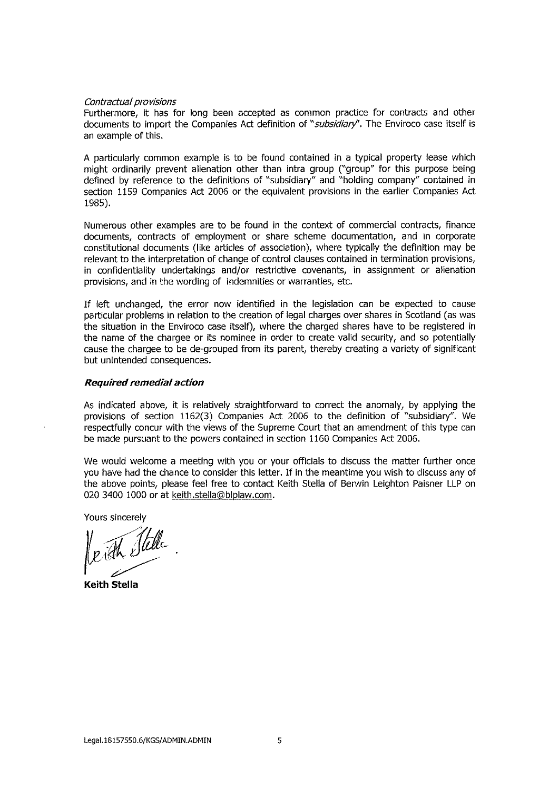#### Contractual provisions

Furthermore, it has for long been accepted as common practice for contracts and other documents to import the Companies Act definition of "subsidiary". The Enviroco case itself is an example of this.

A particularly common example is to be found contained in a typical property lease which might ordinarily prevent alienation other than intra group ("group" for this purpose being defined by reference to the definitions of "subsidiary" and "holding company" contained in section 1159 Companies Act 2006 or the equivalent provisions in the earlier Companies Act 1985).

Numerous other examples are to be found in the context of commercial contracts, finance documents, contracts of employment or share scheme documentation, and in corporate constitutional documents (like articles of association), where typically the definition may be relevant to the interpretation of change of control clauses contained in termination provisions, in confidentiality undertakings and/or restrictive covenants, in assignment or alienation provisions, and in the wording of indemnities or warranties, etc.

If left unchanged, the error now identified in the legislation can be expected to cause particular problems in relation to the creation of legal charges over shares in Scotland (as was the situation in the Enviroco case itself), where the charged shares have to be registered in the name of the chargee or its nominee in order to create valid security, and so potentially cause the chargee to be de-grouped from its parent, thereby creating a variety of significant but unintended consequences.

#### **Required remedial action**

As indicated above, it is relatively straightforward to correct the anomaly, by applying the provisions of section 1162(3) Companies Act 2006 to the definition of "subsidiary". We respectfully concur with the views of the Supreme Court that an amendment of this type can be made pursuant to the powers contained in section 1160 Companies Act 2006.

We would welcome a meeting with you or your officials to discuss the matter further once you have had the chance to consider this letter. If in the meantime you wish to discuss any of the above points, please feel free to contact Keith Stella of Berwin Leighton Paisner LLP on 020 3400 1000 or at keith.stella@blplaw.com.

Yours sincerely

**Keith Stella**